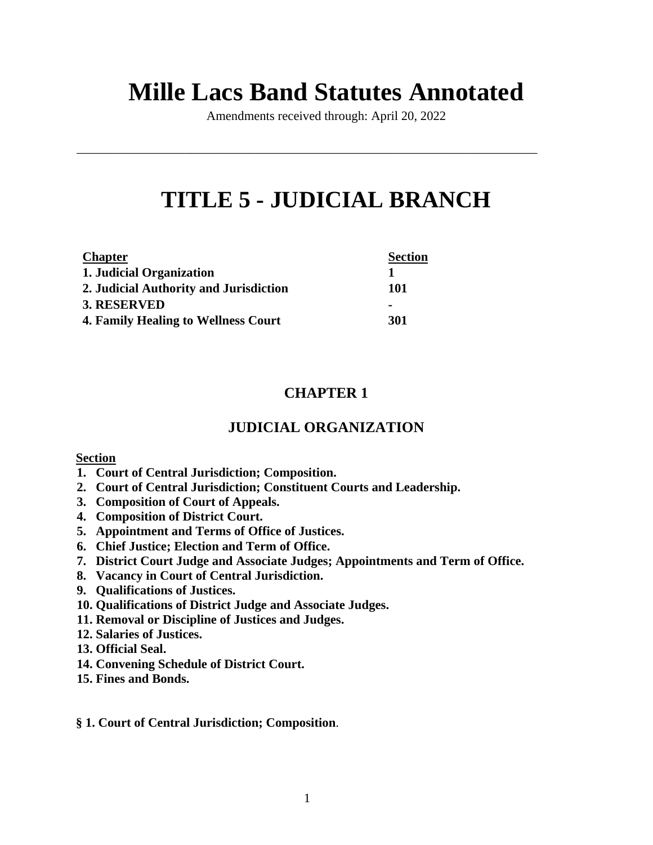# **Mille Lacs Band Statutes Annotated**

Amendments received through: April 20, 2022

\_\_\_\_\_\_\_\_\_\_\_\_\_\_\_\_\_\_\_\_\_\_\_\_\_\_\_\_\_\_\_\_\_\_\_\_\_\_\_\_\_\_\_\_\_\_\_\_\_\_\_\_\_\_\_\_\_\_\_\_\_\_\_\_\_\_\_\_\_\_\_\_

# **TITLE 5 - JUDICIAL BRANCH**

| <b>Chapter</b>                             | <b>Section</b> |
|--------------------------------------------|----------------|
| 1. Judicial Organization                   |                |
| 2. Judicial Authority and Jurisdiction     | 101            |
| 3. RESERVED                                | -              |
| <b>4. Family Healing to Wellness Court</b> | 301            |

# **CHAPTER 1**

# **JUDICIAL ORGANIZATION**

## **Section**

- **1. Court of Central Jurisdiction; Composition.**
- **2. Court of Central Jurisdiction; Constituent Courts and Leadership.**
- **3. Composition of Court of Appeals.**
- **4. Composition of District Court.**
- **5. Appointment and Terms of Office of Justices.**
- **6. Chief Justice; Election and Term of Office.**
- **7. District Court Judge and Associate Judges; Appointments and Term of Office.**
- **8. Vacancy in Court of Central Jurisdiction.**
- **9. Qualifications of Justices.**
- **10. Qualifications of District Judge and Associate Judges.**
- **11. Removal or Discipline of Justices and Judges.**
- **12. Salaries of Justices.**
- **13. Official Seal.**
- **14. Convening Schedule of District Court.**
- **15. Fines and Bonds.**

## **§ 1. Court of Central Jurisdiction; Composition**.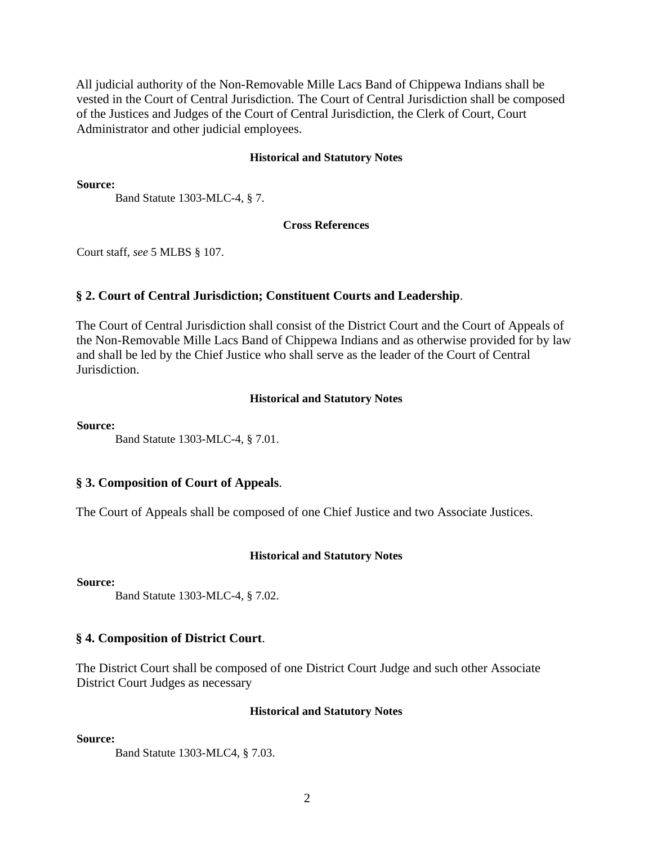All judicial authority of the Non-Removable Mille Lacs Band of Chippewa Indians shall be vested in the Court of Central Jurisdiction. The Court of Central Jurisdiction shall be composed of the Justices and Judges of the Court of Central Jurisdiction, the Clerk of Court, Court Administrator and other judicial employees.

#### **Historical and Statutory Notes**

**Source:**

Band Statute 1303-MLC-4, § 7.

#### **Cross References**

Court staff, *see* 5 MLBS § 107.

#### **§ 2. Court of Central Jurisdiction; Constituent Courts and Leadership**.

The Court of Central Jurisdiction shall consist of the District Court and the Court of Appeals of the Non-Removable Mille Lacs Band of Chippewa Indians and as otherwise provided for by law and shall be led by the Chief Justice who shall serve as the leader of the Court of Central Jurisdiction.

#### **Historical and Statutory Notes**

**Source:**

Band Statute 1303-MLC-4, § 7.01.

#### **§ 3. Composition of Court of Appeals**.

The Court of Appeals shall be composed of one Chief Justice and two Associate Justices.

#### **Historical and Statutory Notes**

#### **Source:**

Band Statute 1303-MLC-4, § 7.02.

#### **§ 4. Composition of District Court**.

The District Court shall be composed of one District Court Judge and such other Associate District Court Judges as necessary

#### **Historical and Statutory Notes**

**Source:**

Band Statute 1303-MLC4, § 7.03.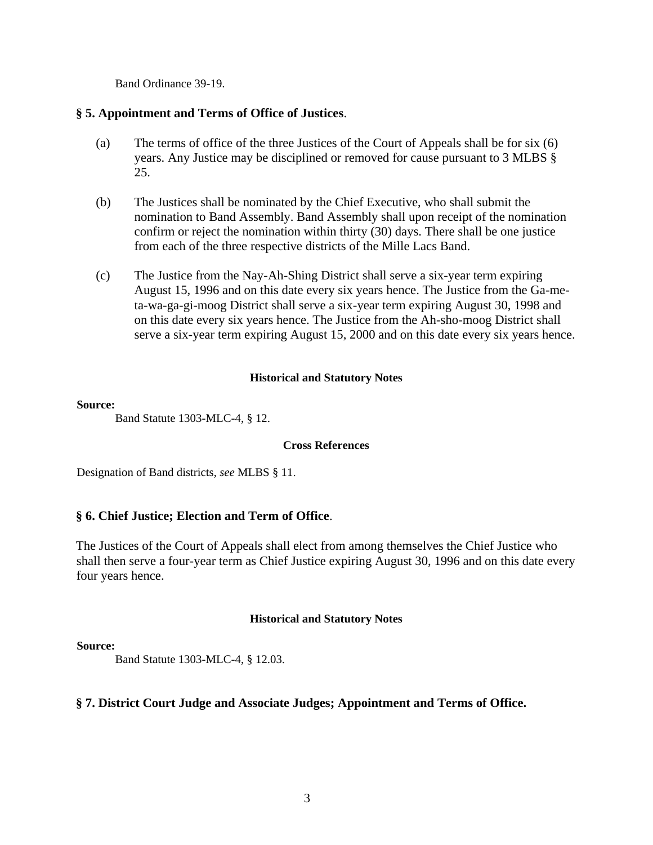Band Ordinance 39-19.

#### **§ 5. Appointment and Terms of Office of Justices**.

- (a) The terms of office of the three Justices of the Court of Appeals shall be for six (6) years. Any Justice may be disciplined or removed for cause pursuant to 3 MLBS § 25.
- (b) The Justices shall be nominated by the Chief Executive, who shall submit the nomination to Band Assembly. Band Assembly shall upon receipt of the nomination confirm or reject the nomination within thirty (30) days. There shall be one justice from each of the three respective districts of the Mille Lacs Band.
- (c) The Justice from the Nay-Ah-Shing District shall serve a six-year term expiring August 15, 1996 and on this date every six years hence. The Justice from the Ga-meta-wa-ga-gi-moog District shall serve a six-year term expiring August 30, 1998 and on this date every six years hence. The Justice from the Ah-sho-moog District shall serve a six-year term expiring August 15, 2000 and on this date every six years hence.

#### **Historical and Statutory Notes**

#### **Source:**

Band Statute 1303-MLC-4, § 12.

#### **Cross References**

Designation of Band districts, *see* MLBS § 11.

## **§ 6. Chief Justice; Election and Term of Office**.

The Justices of the Court of Appeals shall elect from among themselves the Chief Justice who shall then serve a four-year term as Chief Justice expiring August 30, 1996 and on this date every four years hence.

#### **Historical and Statutory Notes**

#### **Source:**

Band Statute 1303-MLC-4, § 12.03.

#### **§ 7. District Court Judge and Associate Judges; Appointment and Terms of Office.**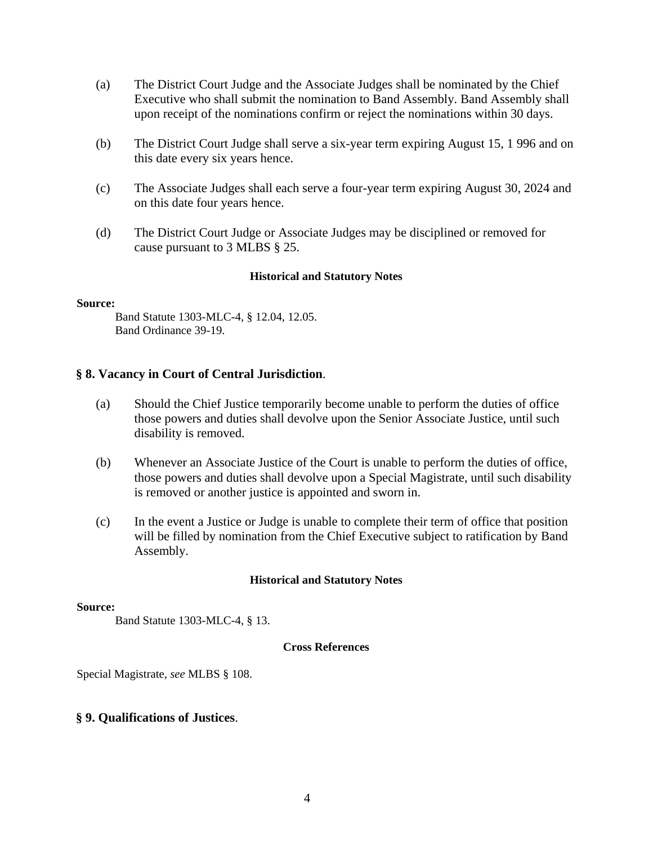- (a) The District Court Judge and the Associate Judges shall be nominated by the Chief Executive who shall submit the nomination to Band Assembly. Band Assembly shall upon receipt of the nominations confirm or reject the nominations within 30 days.
- (b) The District Court Judge shall serve a six-year term expiring August 15, 1 996 and on this date every six years hence.
- (c) The Associate Judges shall each serve a four-year term expiring August 30, 2024 and on this date four years hence.
- (d) The District Court Judge or Associate Judges may be disciplined or removed for cause pursuant to 3 MLBS § 25.

#### **Source:**

Band Statute 1303-MLC-4, § 12.04, 12.05. Band Ordinance 39-19.

#### **§ 8. Vacancy in Court of Central Jurisdiction**.

- (a) Should the Chief Justice temporarily become unable to perform the duties of office those powers and duties shall devolve upon the Senior Associate Justice, until such disability is removed.
- (b) Whenever an Associate Justice of the Court is unable to perform the duties of office, those powers and duties shall devolve upon a Special Magistrate, until such disability is removed or another justice is appointed and sworn in.
- (c) In the event a Justice or Judge is unable to complete their term of office that position will be filled by nomination from the Chief Executive subject to ratification by Band Assembly.

#### **Historical and Statutory Notes**

#### **Source:**

Band Statute 1303-MLC-4, § 13.

#### **Cross References**

Special Magistrate, *see* MLBS § 108.

#### **§ 9. Qualifications of Justices**.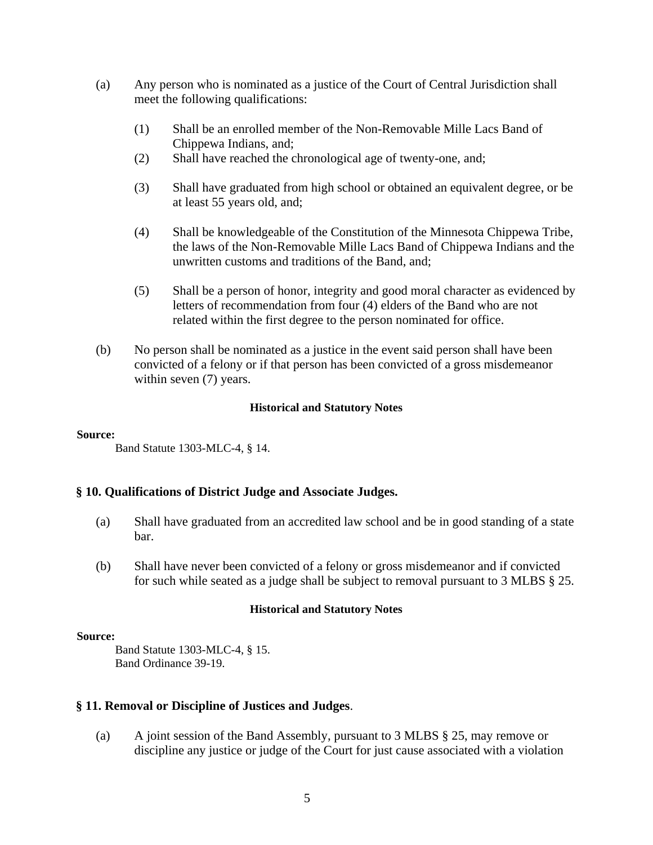- (a) Any person who is nominated as a justice of the Court of Central Jurisdiction shall meet the following qualifications:
	- (1) Shall be an enrolled member of the Non-Removable Mille Lacs Band of Chippewa Indians, and;
	- (2) Shall have reached the chronological age of twenty-one, and;
	- (3) Shall have graduated from high school or obtained an equivalent degree, or be at least 55 years old, and;
	- (4) Shall be knowledgeable of the Constitution of the Minnesota Chippewa Tribe, the laws of the Non-Removable Mille Lacs Band of Chippewa Indians and the unwritten customs and traditions of the Band, and;
	- (5) Shall be a person of honor, integrity and good moral character as evidenced by letters of recommendation from four (4) elders of the Band who are not related within the first degree to the person nominated for office.
- (b) No person shall be nominated as a justice in the event said person shall have been convicted of a felony or if that person has been convicted of a gross misdemeanor within seven  $(7)$  years.

#### **Source:**

Band Statute 1303-MLC-4, § 14.

## **§ 10. Qualifications of District Judge and Associate Judges.**

- (a) Shall have graduated from an accredited law school and be in good standing of a state bar.
- (b) Shall have never been convicted of a felony or gross misdemeanor and if convicted for such while seated as a judge shall be subject to removal pursuant to 3 MLBS § 25.

#### **Historical and Statutory Notes**

#### **Source:**

Band Statute 1303-MLC-4, § 15. Band Ordinance 39-19.

## **§ 11. Removal or Discipline of Justices and Judges**.

(a) A joint session of the Band Assembly, pursuant to 3 MLBS § 25, may remove or discipline any justice or judge of the Court for just cause associated with a violation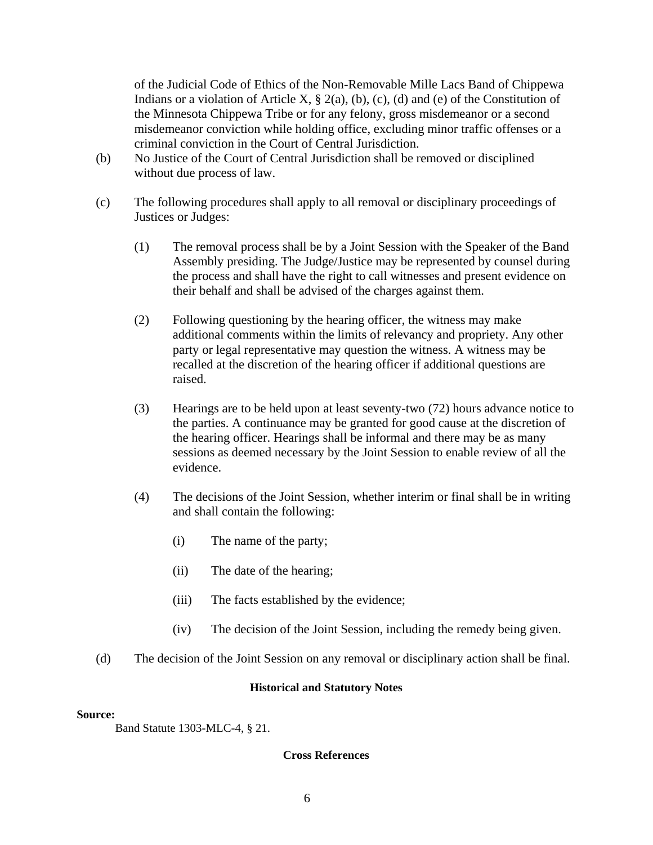of the Judicial Code of Ethics of the Non-Removable Mille Lacs Band of Chippewa Indians or a violation of Article X,  $\S$  2(a), (b), (c), (d) and (e) of the Constitution of the Minnesota Chippewa Tribe or for any felony, gross misdemeanor or a second misdemeanor conviction while holding office, excluding minor traffic offenses or a criminal conviction in the Court of Central Jurisdiction.

- (b) No Justice of the Court of Central Jurisdiction shall be removed or disciplined without due process of law.
- (c) The following procedures shall apply to all removal or disciplinary proceedings of Justices or Judges:
	- (1) The removal process shall be by a Joint Session with the Speaker of the Band Assembly presiding. The Judge/Justice may be represented by counsel during the process and shall have the right to call witnesses and present evidence on their behalf and shall be advised of the charges against them.
	- (2) Following questioning by the hearing officer, the witness may make additional comments within the limits of relevancy and propriety. Any other party or legal representative may question the witness. A witness may be recalled at the discretion of the hearing officer if additional questions are raised.
	- (3) Hearings are to be held upon at least seventy-two (72) hours advance notice to the parties. A continuance may be granted for good cause at the discretion of the hearing officer. Hearings shall be informal and there may be as many sessions as deemed necessary by the Joint Session to enable review of all the evidence.
	- (4) The decisions of the Joint Session, whether interim or final shall be in writing and shall contain the following:
		- (i) The name of the party;
		- (ii) The date of the hearing;
		- (iii) The facts established by the evidence;
		- (iv) The decision of the Joint Session, including the remedy being given.
- (d) The decision of the Joint Session on any removal or disciplinary action shall be final.

#### **Historical and Statutory Notes**

#### **Source:**

Band Statute 1303-MLC-4, § 21.

#### **Cross References**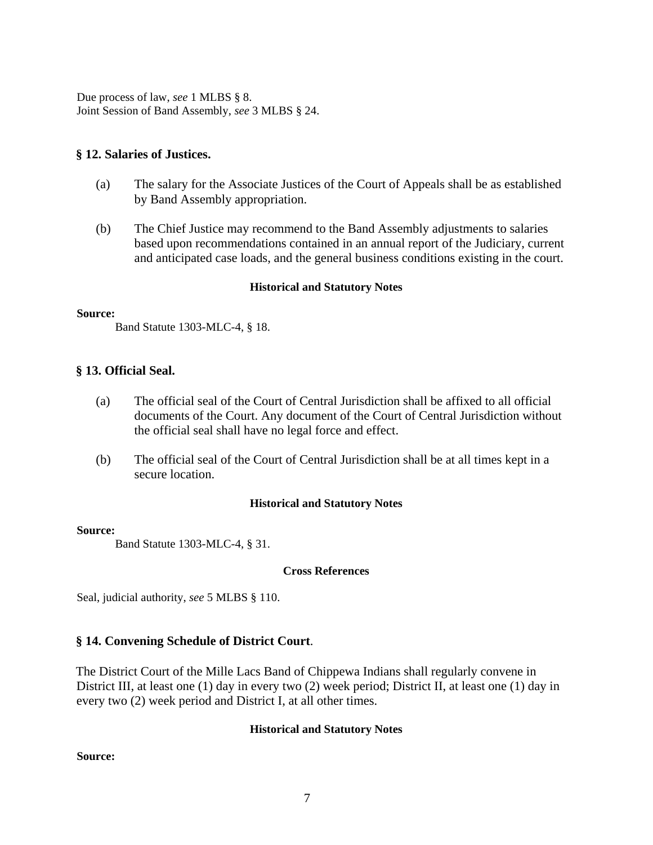Due process of law, *see* 1 MLBS § 8. Joint Session of Band Assembly, *see* 3 MLBS § 24.

#### **§ 12. Salaries of Justices.**

- (a) The salary for the Associate Justices of the Court of Appeals shall be as established by Band Assembly appropriation.
- (b) The Chief Justice may recommend to the Band Assembly adjustments to salaries based upon recommendations contained in an annual report of the Judiciary, current and anticipated case loads, and the general business conditions existing in the court.

#### **Historical and Statutory Notes**

#### **Source:**

Band Statute 1303-MLC-4, § 18.

## **§ 13. Official Seal.**

- (a) The official seal of the Court of Central Jurisdiction shall be affixed to all official documents of the Court. Any document of the Court of Central Jurisdiction without the official seal shall have no legal force and effect.
- (b) The official seal of the Court of Central Jurisdiction shall be at all times kept in a secure location.

#### **Historical and Statutory Notes**

#### **Source:**

Band Statute 1303-MLC-4, § 31.

#### **Cross References**

Seal, judicial authority, *see* 5 MLBS § 110.

## **§ 14. Convening Schedule of District Court**.

The District Court of the Mille Lacs Band of Chippewa Indians shall regularly convene in District III, at least one (1) day in every two (2) week period; District II, at least one (1) day in every two (2) week period and District I, at all other times.

#### **Historical and Statutory Notes**

**Source:**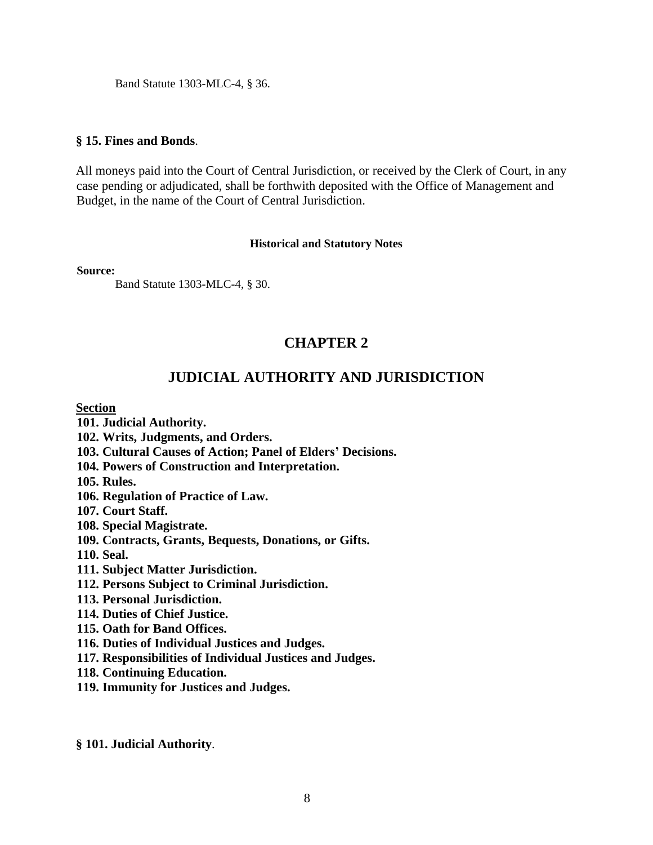Band Statute 1303-MLC-4, § 36.

#### **§ 15. Fines and Bonds**.

All moneys paid into the Court of Central Jurisdiction, or received by the Clerk of Court, in any case pending or adjudicated, shall be forthwith deposited with the Office of Management and Budget, in the name of the Court of Central Jurisdiction.

#### **Historical and Statutory Notes**

**Source:**

Band Statute 1303-MLC-4, § 30.

# **CHAPTER 2**

# **JUDICIAL AUTHORITY AND JURISDICTION**

#### **Section**

**101. Judicial Authority.** 

- **102. Writs, Judgments, and Orders.**
- **103. Cultural Causes of Action; Panel of Elders' Decisions.**
- **104. Powers of Construction and Interpretation.**

**105. Rules.** 

- **106. Regulation of Practice of Law.**
- **107. Court Staff.**

**108. Special Magistrate.** 

**109. Contracts, Grants, Bequests, Donations, or Gifts.** 

**110. Seal.** 

- **111. Subject Matter Jurisdiction.**
- **112. Persons Subject to Criminal Jurisdiction.**
- **113. Personal Jurisdiction.**
- **114. Duties of Chief Justice.**
- **115. Oath for Band Offices.**
- **116. Duties of Individual Justices and Judges.**
- **117. Responsibilities of Individual Justices and Judges.**
- **118. Continuing Education.**
- **119. Immunity for Justices and Judges.**

**§ 101. Judicial Authority**.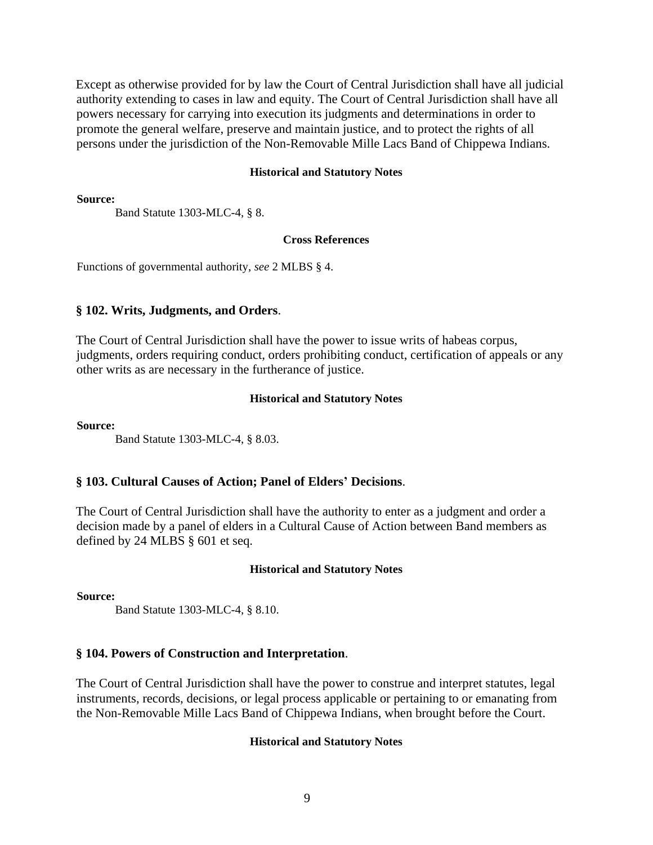Except as otherwise provided for by law the Court of Central Jurisdiction shall have all judicial authority extending to cases in law and equity. The Court of Central Jurisdiction shall have all powers necessary for carrying into execution its judgments and determinations in order to promote the general welfare, preserve and maintain justice, and to protect the rights of all persons under the jurisdiction of the Non-Removable Mille Lacs Band of Chippewa Indians.

#### **Historical and Statutory Notes**

**Source:**

Band Statute 1303-MLC-4, § 8.

#### **Cross References**

Functions of governmental authority, *see* 2 MLBS § 4.

#### **§ 102. Writs, Judgments, and Orders**.

The Court of Central Jurisdiction shall have the power to issue writs of habeas corpus, judgments, orders requiring conduct, orders prohibiting conduct, certification of appeals or any other writs as are necessary in the furtherance of justice.

#### **Historical and Statutory Notes**

**Source:**

Band Statute 1303-MLC-4, § 8.03.

#### **§ 103. Cultural Causes of Action; Panel of Elders' Decisions**.

The Court of Central Jurisdiction shall have the authority to enter as a judgment and order a decision made by a panel of elders in a Cultural Cause of Action between Band members as defined by 24 MLBS § 601 et seq.

#### **Historical and Statutory Notes**

**Source:**

Band Statute 1303-MLC-4, § 8.10.

#### **§ 104. Powers of Construction and Interpretation**.

The Court of Central Jurisdiction shall have the power to construe and interpret statutes, legal instruments, records, decisions, or legal process applicable or pertaining to or emanating from the Non-Removable Mille Lacs Band of Chippewa Indians, when brought before the Court.

#### **Historical and Statutory Notes**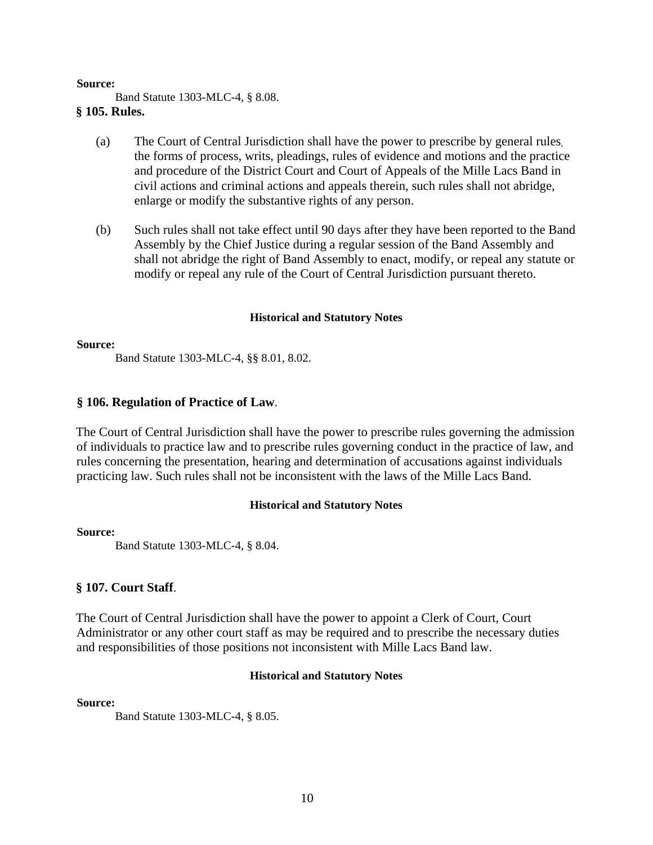**Source:**

Band Statute 1303-MLC-4, § 8.08.

## **§ 105. Rules.**

- (a) The Court of Central Jurisdiction shall have the power to prescribe by general rules, the forms of process, writs, pleadings, rules of evidence and motions and the practice and procedure of the District Court and Court of Appeals of the Mille Lacs Band in civil actions and criminal actions and appeals therein, such rules shall not abridge, enlarge or modify the substantive rights of any person.
- (b) Such rules shall not take effect until 90 days after they have been reported to the Band Assembly by the Chief Justice during a regular session of the Band Assembly and shall not abridge the right of Band Assembly to enact, modify, or repeal any statute or modify or repeal any rule of the Court of Central Jurisdiction pursuant thereto.

## **Historical and Statutory Notes**

#### **Source:**

Band Statute 1303-MLC-4, §§ 8.01, 8.02.

## **§ 106. Regulation of Practice of Law**.

The Court of Central Jurisdiction shall have the power to prescribe rules governing the admission of individuals to practice law and to prescribe rules governing conduct in the practice of law, and rules concerning the presentation, hearing and determination of accusations against individuals practicing law. Such rules shall not be inconsistent with the laws of the Mille Lacs Band.

#### **Historical and Statutory Notes**

#### **Source:**

Band Statute 1303-MLC-4, § 8.04.

## **§ 107. Court Staff**.

The Court of Central Jurisdiction shall have the power to appoint a Clerk of Court, Court Administrator or any other court staff as may be required and to prescribe the necessary duties and responsibilities of those positions not inconsistent with Mille Lacs Band law.

#### **Historical and Statutory Notes**

#### **Source:**

Band Statute 1303-MLC-4, § 8.05.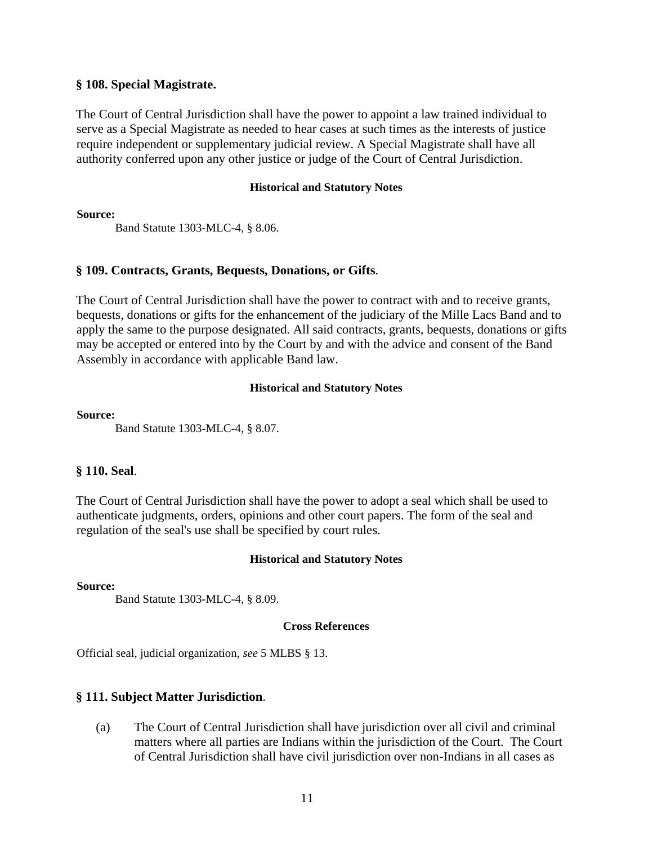#### **§ 108. Special Magistrate.**

The Court of Central Jurisdiction shall have the power to appoint a law trained individual to serve as a Special Magistrate as needed to hear cases at such times as the interests of justice require independent or supplementary judicial review. A Special Magistrate shall have all authority conferred upon any other justice or judge of the Court of Central Jurisdiction.

#### **Historical and Statutory Notes**

**Source:**

Band Statute 1303-MLC-4, § 8.06.

## **§ 109. Contracts, Grants, Bequests, Donations, or Gifts**.

The Court of Central Jurisdiction shall have the power to contract with and to receive grants, bequests, donations or gifts for the enhancement of the judiciary of the Mille Lacs Band and to apply the same to the purpose designated. All said contracts, grants, bequests, donations or gifts may be accepted or entered into by the Court by and with the advice and consent of the Band Assembly in accordance with applicable Band law.

## **Historical and Statutory Notes**

#### **Source:**

Band Statute 1303-MLC-4, § 8.07.

## **§ 110. Seal**.

The Court of Central Jurisdiction shall have the power to adopt a seal which shall be used to authenticate judgments, orders, opinions and other court papers. The form of the seal and regulation of the seal's use shall be specified by court rules.

## **Historical and Statutory Notes**

**Source:**

Band Statute 1303-MLC-4, § 8.09.

#### **Cross References**

Official seal, judicial organization, *see* 5 MLBS § 13.

## **§ 111. Subject Matter Jurisdiction**.

(a) The Court of Central Jurisdiction shall have jurisdiction over all civil and criminal matters where all parties are Indians within the jurisdiction of the Court. The Court of Central Jurisdiction shall have civil jurisdiction over non-Indians in all cases as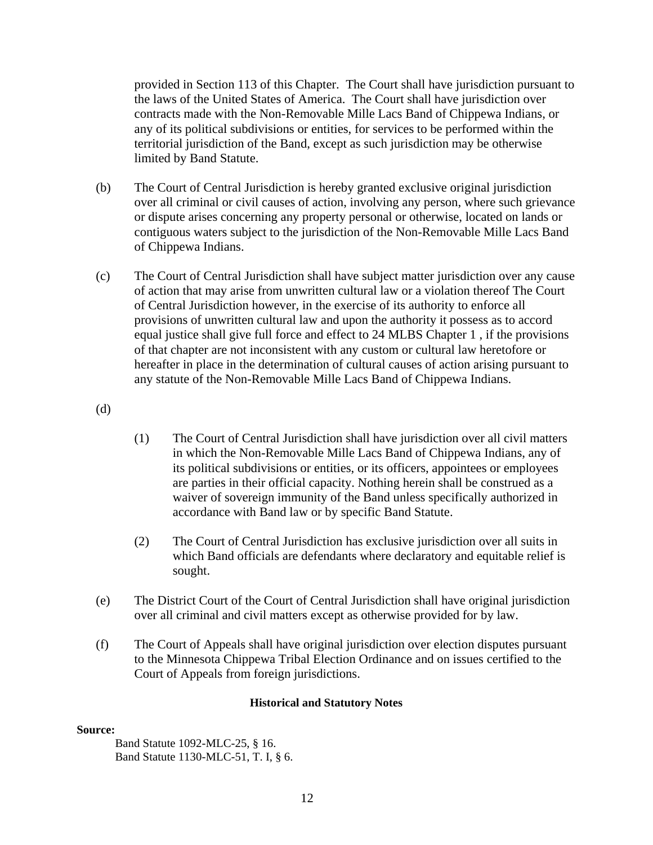provided in Section 113 of this Chapter. The Court shall have jurisdiction pursuant to the laws of the United States of America. The Court shall have jurisdiction over contracts made with the Non-Removable Mille Lacs Band of Chippewa Indians, or any of its political subdivisions or entities, for services to be performed within the territorial jurisdiction of the Band, except as such jurisdiction may be otherwise limited by Band Statute.

- (b) The Court of Central Jurisdiction is hereby granted exclusive original jurisdiction over all criminal or civil causes of action, involving any person, where such grievance or dispute arises concerning any property personal or otherwise, located on lands or contiguous waters subject to the jurisdiction of the Non-Removable Mille Lacs Band of Chippewa Indians.
- (c) The Court of Central Jurisdiction shall have subject matter jurisdiction over any cause of action that may arise from unwritten cultural law or a violation thereof The Court of Central Jurisdiction however, in the exercise of its authority to enforce all provisions of unwritten cultural law and upon the authority it possess as to accord equal justice shall give full force and effect to 24 MLBS Chapter 1 , if the provisions of that chapter are not inconsistent with any custom or cultural law heretofore or hereafter in place in the determination of cultural causes of action arising pursuant to any statute of the Non-Removable Mille Lacs Band of Chippewa Indians.

(d)

- (1) The Court of Central Jurisdiction shall have jurisdiction over all civil matters in which the Non-Removable Mille Lacs Band of Chippewa Indians, any of its political subdivisions or entities, or its officers, appointees or employees are parties in their official capacity. Nothing herein shall be construed as a waiver of sovereign immunity of the Band unless specifically authorized in accordance with Band law or by specific Band Statute.
- (2) The Court of Central Jurisdiction has exclusive jurisdiction over all suits in which Band officials are defendants where declaratory and equitable relief is sought.
- (e) The District Court of the Court of Central Jurisdiction shall have original jurisdiction over all criminal and civil matters except as otherwise provided for by law.
- (f) The Court of Appeals shall have original jurisdiction over election disputes pursuant to the Minnesota Chippewa Tribal Election Ordinance and on issues certified to the Court of Appeals from foreign jurisdictions.

#### **Historical and Statutory Notes**

#### **Source:**

Band Statute 1092-MLC-25, § 16. Band Statute 1130-MLC-51, T. I, § 6.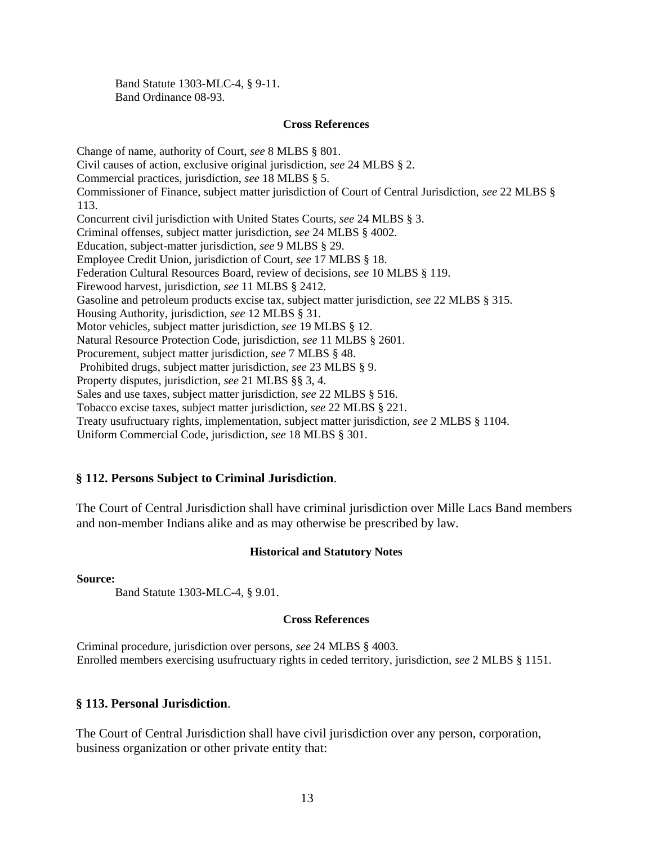Band Statute 1303-MLC-4, § 9-11. Band Ordinance 08-93.

#### **Cross References**

Change of name, authority of Court, *see* 8 MLBS § 801. Civil causes of action, exclusive original jurisdiction, *see* 24 MLBS § 2. Commercial practices, jurisdiction, *see* 18 MLBS § 5. Commissioner of Finance, subject matter jurisdiction of Court of Central Jurisdiction, *see* 22 MLBS § 113. Concurrent civil jurisdiction with United States Courts, *see* 24 MLBS § 3. Criminal offenses, subject matter jurisdiction, *see* 24 MLBS § 4002. Education, subject-matter jurisdiction, *see* 9 MLBS § 29. Employee Credit Union, jurisdiction of Court, *see* 17 MLBS § 18. Federation Cultural Resources Board, review of decisions, *see* 10 MLBS § 119. Firewood harvest, jurisdiction, *see* 11 MLBS § 2412. Gasoline and petroleum products excise tax, subject matter jurisdiction, *see* 22 MLBS § 315. Housing Authority, jurisdiction, *see* 12 MLBS § 31. Motor vehicles, subject matter jurisdiction, *see* 19 MLBS § 12. Natural Resource Protection Code, jurisdiction, *see* 11 MLBS § 2601. Procurement, subject matter jurisdiction, *see* 7 MLBS § 48. Prohibited drugs, subject matter jurisdiction, *see* 23 MLBS § 9. Property disputes, jurisdiction, *see* 21 MLBS §§ 3, 4. Sales and use taxes, subject matter jurisdiction, *see* 22 MLBS § 516. Tobacco excise taxes, subject matter jurisdiction, *see* 22 MLBS § 221. Treaty usufructuary rights, implementation, subject matter jurisdiction, *see* 2 MLBS § 1104. Uniform Commercial Code, jurisdiction, *see* 18 MLBS § 301.

#### **§ 112. Persons Subject to Criminal Jurisdiction**.

The Court of Central Jurisdiction shall have criminal jurisdiction over Mille Lacs Band members and non-member Indians alike and as may otherwise be prescribed by law.

#### **Historical and Statutory Notes**

**Source:**

Band Statute 1303-MLC-4, § 9.01.

#### **Cross References**

Criminal procedure, jurisdiction over persons, *see* 24 MLBS § 4003. Enrolled members exercising usufructuary rights in ceded territory, jurisdiction, *see* 2 MLBS § 1151.

#### **§ 113. Personal Jurisdiction**.

The Court of Central Jurisdiction shall have civil jurisdiction over any person, corporation, business organization or other private entity that: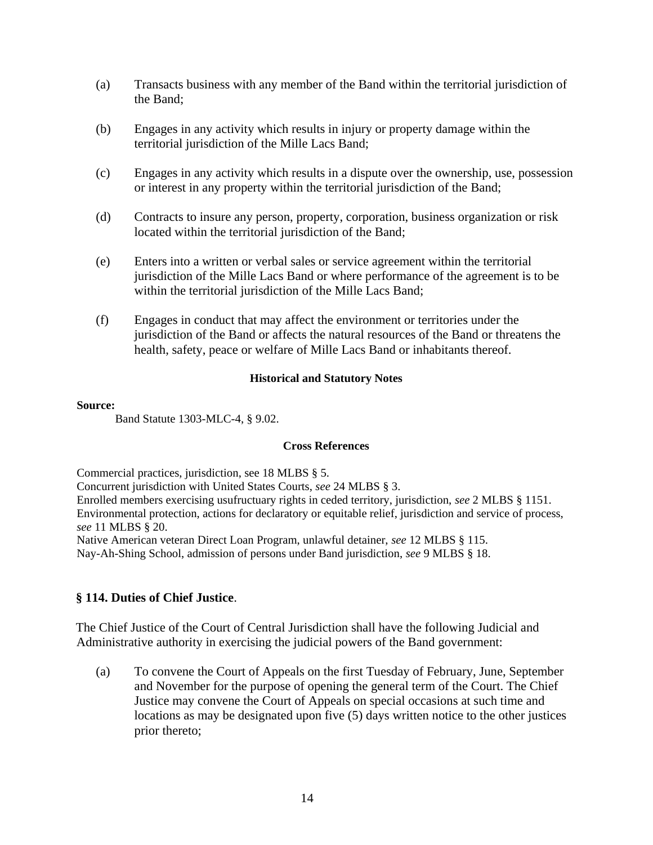- (a) Transacts business with any member of the Band within the territorial jurisdiction of the Band;
- (b) Engages in any activity which results in injury or property damage within the territorial jurisdiction of the Mille Lacs Band;
- (c) Engages in any activity which results in a dispute over the ownership, use, possession or interest in any property within the territorial jurisdiction of the Band;
- (d) Contracts to insure any person, property, corporation, business organization or risk located within the territorial jurisdiction of the Band;
- (e) Enters into a written or verbal sales or service agreement within the territorial jurisdiction of the Mille Lacs Band or where performance of the agreement is to be within the territorial jurisdiction of the Mille Lacs Band;
- (f) Engages in conduct that may affect the environment or territories under the jurisdiction of the Band or affects the natural resources of the Band or threatens the health, safety, peace or welfare of Mille Lacs Band or inhabitants thereof.

#### **Source:**

```
Band Statute 1303-MLC-4, § 9.02.
```
## **Cross References**

Commercial practices, jurisdiction, see 18 MLBS § 5.

Concurrent jurisdiction with United States Courts, *see* 24 MLBS § 3.

Enrolled members exercising usufructuary rights in ceded territory, jurisdiction, *see* 2 MLBS § 1151. Environmental protection, actions for declaratory or equitable relief, jurisdiction and service of process, *see* 11 MLBS § 20.

Native American veteran Direct Loan Program, unlawful detainer, *see* 12 MLBS § 115.

Nay-Ah-Shing School, admission of persons under Band jurisdiction, *see* 9 MLBS § 18.

## **§ 114. Duties of Chief Justice**.

The Chief Justice of the Court of Central Jurisdiction shall have the following Judicial and Administrative authority in exercising the judicial powers of the Band government:

(a) To convene the Court of Appeals on the first Tuesday of February, June, September and November for the purpose of opening the general term of the Court. The Chief Justice may convene the Court of Appeals on special occasions at such time and locations as may be designated upon five (5) days written notice to the other justices prior thereto;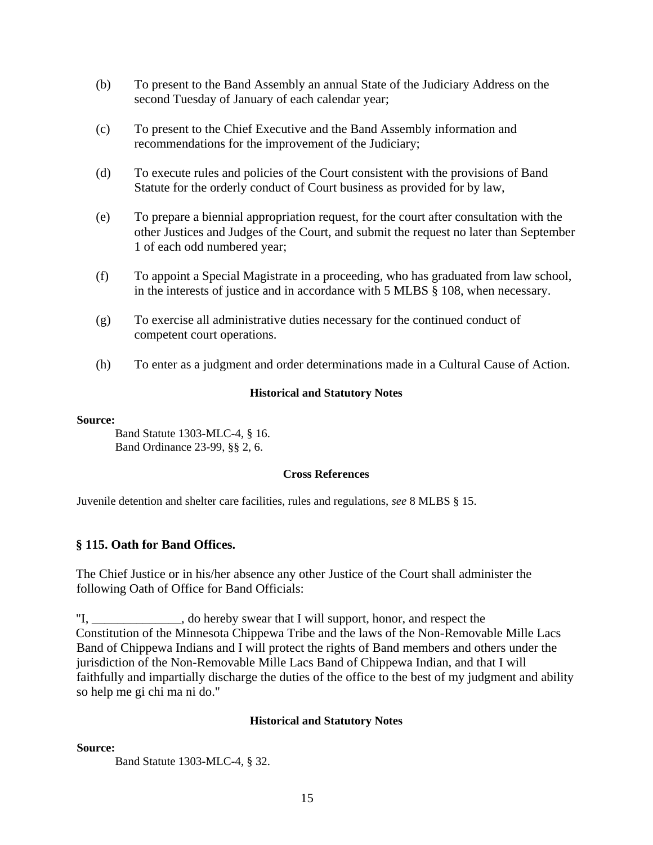- (b) To present to the Band Assembly an annual State of the Judiciary Address on the second Tuesday of January of each calendar year;
- (c) To present to the Chief Executive and the Band Assembly information and recommendations for the improvement of the Judiciary;
- (d) To execute rules and policies of the Court consistent with the provisions of Band Statute for the orderly conduct of Court business as provided for by law,
- (e) To prepare a biennial appropriation request, for the court after consultation with the other Justices and Judges of the Court, and submit the request no later than September 1 of each odd numbered year;
- (f) To appoint a Special Magistrate in a proceeding, who has graduated from law school, in the interests of justice and in accordance with 5 MLBS § 108, when necessary.
- (g) To exercise all administrative duties necessary for the continued conduct of competent court operations.
- (h) To enter as a judgment and order determinations made in a Cultural Cause of Action.

#### **Source:**

Band Statute 1303-MLC-4, § 16. Band Ordinance 23-99, §§ 2, 6.

#### **Cross References**

Juvenile detention and shelter care facilities, rules and regulations, *see* 8 MLBS § 15.

## **§ 115. Oath for Band Offices.**

The Chief Justice or in his/her absence any other Justice of the Court shall administer the following Oath of Office for Band Officials:

"I, do hereby swear that I will support, honor, and respect the Constitution of the Minnesota Chippewa Tribe and the laws of the Non-Removable Mille Lacs Band of Chippewa Indians and I will protect the rights of Band members and others under the jurisdiction of the Non-Removable Mille Lacs Band of Chippewa Indian, and that I will faithfully and impartially discharge the duties of the office to the best of my judgment and ability so help me gi chi ma ni do."

#### **Historical and Statutory Notes**

#### **Source:**

Band Statute 1303-MLC-4, § 32.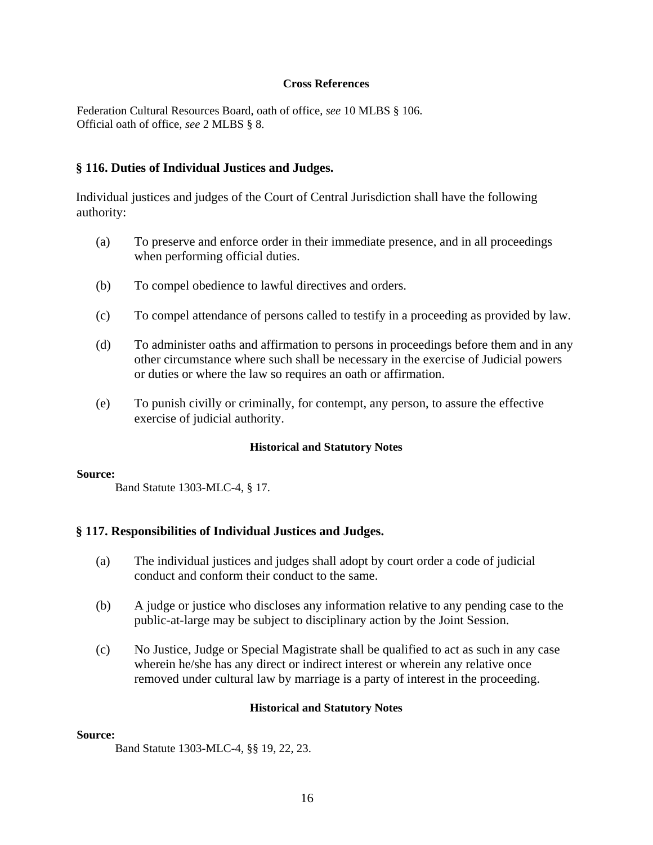#### **Cross References**

Federation Cultural Resources Board, oath of office, *see* 10 MLBS § 106. Official oath of office, *see* 2 MLBS § 8.

#### **§ 116. Duties of Individual Justices and Judges.**

Individual justices and judges of the Court of Central Jurisdiction shall have the following authority:

- (a) To preserve and enforce order in their immediate presence, and in all proceedings when performing official duties.
- (b) To compel obedience to lawful directives and orders.
- (c) To compel attendance of persons called to testify in a proceeding as provided by law.
- (d) To administer oaths and affirmation to persons in proceedings before them and in any other circumstance where such shall be necessary in the exercise of Judicial powers or duties or where the law so requires an oath or affirmation.
- (e) To punish civilly or criminally, for contempt, any person, to assure the effective exercise of judicial authority.

#### **Historical and Statutory Notes**

#### **Source:**

Band Statute 1303-MLC-4, § 17.

#### **§ 117. Responsibilities of Individual Justices and Judges.**

- (a) The individual justices and judges shall adopt by court order a code of judicial conduct and conform their conduct to the same.
- (b) A judge or justice who discloses any information relative to any pending case to the public-at-large may be subject to disciplinary action by the Joint Session.
- (c) No Justice, Judge or Special Magistrate shall be qualified to act as such in any case wherein he/she has any direct or indirect interest or wherein any relative once removed under cultural law by marriage is a party of interest in the proceeding.

#### **Historical and Statutory Notes**

## **Source:**

Band Statute 1303-MLC-4, §§ 19, 22, 23.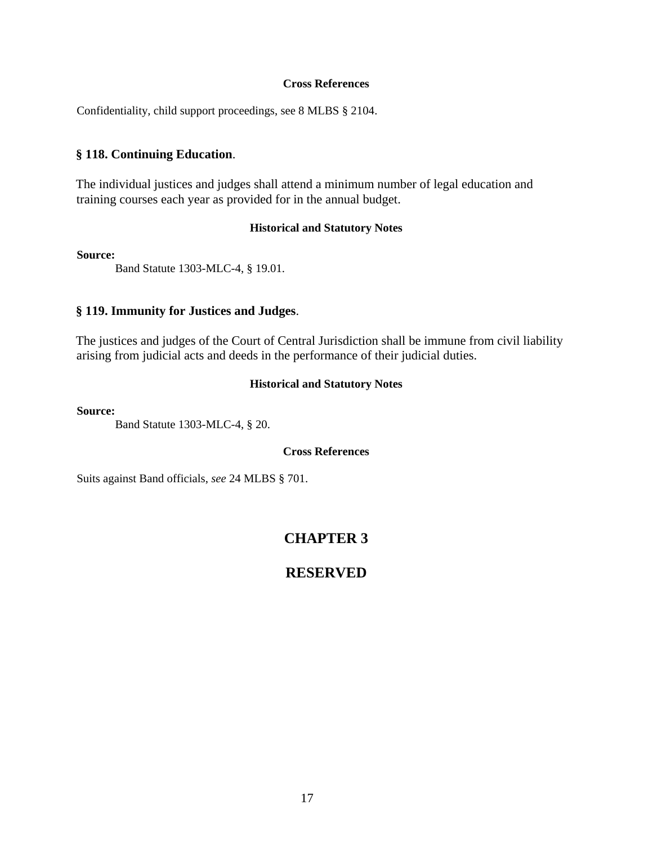#### **Cross References**

Confidentiality, child support proceedings, see 8 MLBS § 2104.

#### **§ 118. Continuing Education**.

The individual justices and judges shall attend a minimum number of legal education and training courses each year as provided for in the annual budget.

#### **Historical and Statutory Notes**

#### **Source:**

Band Statute 1303-MLC-4, § 19.01.

## **§ 119. Immunity for Justices and Judges**.

The justices and judges of the Court of Central Jurisdiction shall be immune from civil liability arising from judicial acts and deeds in the performance of their judicial duties.

#### **Historical and Statutory Notes**

**Source:**

Band Statute 1303-MLC-4, § 20.

#### **Cross References**

Suits against Band officials, *see* 24 MLBS § 701.

# **CHAPTER 3**

## **RESERVED**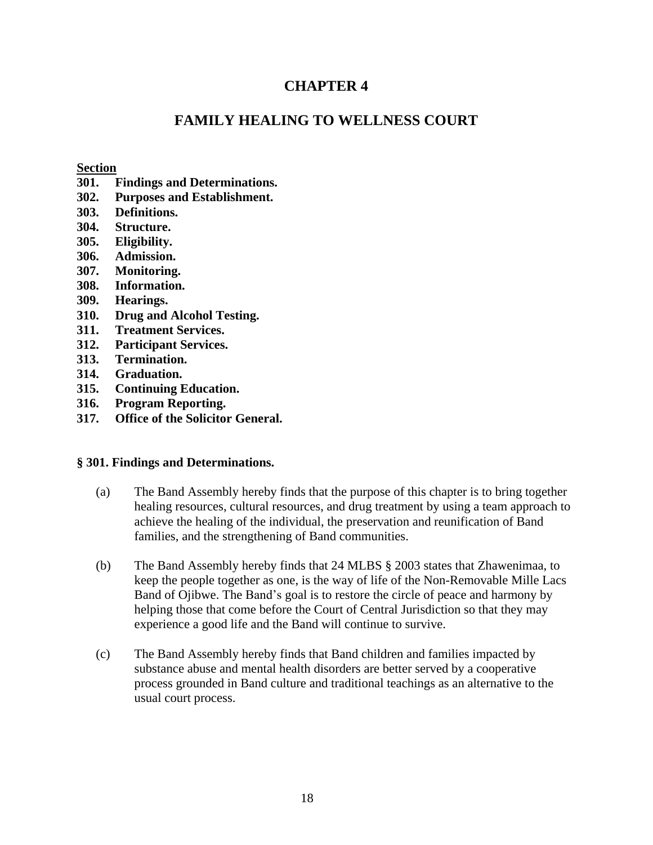# **CHAPTER 4**

# **FAMILY HEALING TO WELLNESS COURT**

#### **Section**

- **301. Findings and Determinations.**
- **302. Purposes and Establishment.**
- **303. Definitions.**
- **304. Structure.**
- **305. Eligibility.**
- **306. Admission.**
- **307. Monitoring.**
- **308. Information.**
- **309. Hearings.**
- **310. Drug and Alcohol Testing.**
- **311. Treatment Services.**
- **312. Participant Services.**
- **313. Termination.**
- **314. Graduation.**
- **315. Continuing Education.**
- **316. Program Reporting.**
- **317. Office of the Solicitor General.**

## **§ 301. Findings and Determinations.**

- (a) The Band Assembly hereby finds that the purpose of this chapter is to bring together healing resources, cultural resources, and drug treatment by using a team approach to achieve the healing of the individual, the preservation and reunification of Band families, and the strengthening of Band communities.
- (b) The Band Assembly hereby finds that 24 MLBS § 2003 states that Zhawenimaa, to keep the people together as one, is the way of life of the Non-Removable Mille Lacs Band of Ojibwe. The Band's goal is to restore the circle of peace and harmony by helping those that come before the Court of Central Jurisdiction so that they may experience a good life and the Band will continue to survive.
- (c) The Band Assembly hereby finds that Band children and families impacted by substance abuse and mental health disorders are better served by a cooperative process grounded in Band culture and traditional teachings as an alternative to the usual court process.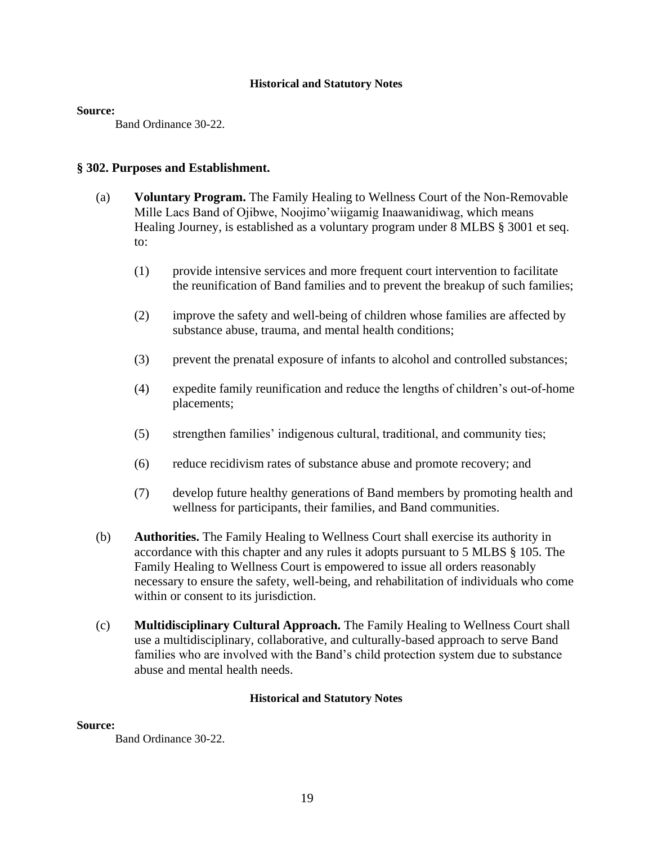#### **Source:**

Band Ordinance 30-22.

#### **§ 302. Purposes and Establishment.**

- (a) **Voluntary Program.** The Family Healing to Wellness Court of the Non-Removable Mille Lacs Band of Ojibwe, Noojimo'wiigamig Inaawanidiwag, which means Healing Journey, is established as a voluntary program under 8 MLBS § 3001 et seq. to:
	- (1) provide intensive services and more frequent court intervention to facilitate the reunification of Band families and to prevent the breakup of such families;
	- (2) improve the safety and well-being of children whose families are affected by substance abuse, trauma, and mental health conditions;
	- (3) prevent the prenatal exposure of infants to alcohol and controlled substances;
	- (4) expedite family reunification and reduce the lengths of children's out-of-home placements;
	- (5) strengthen families' indigenous cultural, traditional, and community ties;
	- (6) reduce recidivism rates of substance abuse and promote recovery; and
	- (7) develop future healthy generations of Band members by promoting health and wellness for participants, their families, and Band communities.
- (b) **Authorities.** The Family Healing to Wellness Court shall exercise its authority in accordance with this chapter and any rules it adopts pursuant to 5 MLBS § 105. The Family Healing to Wellness Court is empowered to issue all orders reasonably necessary to ensure the safety, well-being, and rehabilitation of individuals who come within or consent to its jurisdiction.
- (c) **Multidisciplinary Cultural Approach.** The Family Healing to Wellness Court shall use a multidisciplinary, collaborative, and culturally-based approach to serve Band families who are involved with the Band's child protection system due to substance abuse and mental health needs.

#### **Historical and Statutory Notes**

#### **Source:**

Band Ordinance 30-22.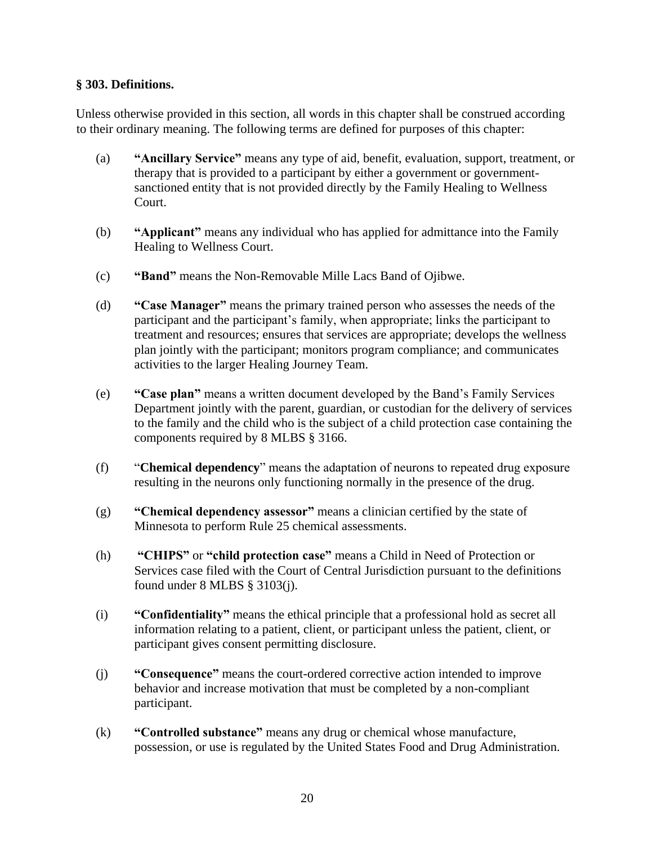## **§ 303. Definitions.**

Unless otherwise provided in this section, all words in this chapter shall be construed according to their ordinary meaning. The following terms are defined for purposes of this chapter:

- (a) **"Ancillary Service"** means any type of aid, benefit, evaluation, support, treatment, or therapy that is provided to a participant by either a government or governmentsanctioned entity that is not provided directly by the Family Healing to Wellness Court.
- (b) **"Applicant"** means any individual who has applied for admittance into the Family Healing to Wellness Court.
- (c) **"Band"** means the Non-Removable Mille Lacs Band of Ojibwe.
- (d) **"Case Manager"** means the primary trained person who assesses the needs of the participant and the participant's family, when appropriate; links the participant to treatment and resources; ensures that services are appropriate; develops the wellness plan jointly with the participant; monitors program compliance; and communicates activities to the larger Healing Journey Team.
- (e) **"Case plan"** means a written document developed by the Band's Family Services Department jointly with the parent, guardian, or custodian for the delivery of services to the family and the child who is the subject of a child protection case containing the components required by 8 MLBS § 3166.
- (f) "**Chemical dependency**" means the adaptation of neurons to repeated drug exposure resulting in the neurons only functioning normally in the presence of the drug.
- (g) **"Chemical dependency assessor"** means a clinician certified by the state of Minnesota to perform Rule 25 chemical assessments.
- (h) **"CHIPS"** or **"child protection case"** means a Child in Need of Protection or Services case filed with the Court of Central Jurisdiction pursuant to the definitions found under 8 MLBS § 3103(j).
- (i) **"Confidentiality"** means the ethical principle that a professional hold as secret all information relating to a patient, client, or participant unless the patient, client, or participant gives consent permitting disclosure.
- (j) **"Consequence"** means the court-ordered corrective action intended to improve behavior and increase motivation that must be completed by a non-compliant participant.
- (k) **"Controlled substance"** means any drug or chemical whose manufacture, possession, or use is regulated by the United States Food and Drug Administration.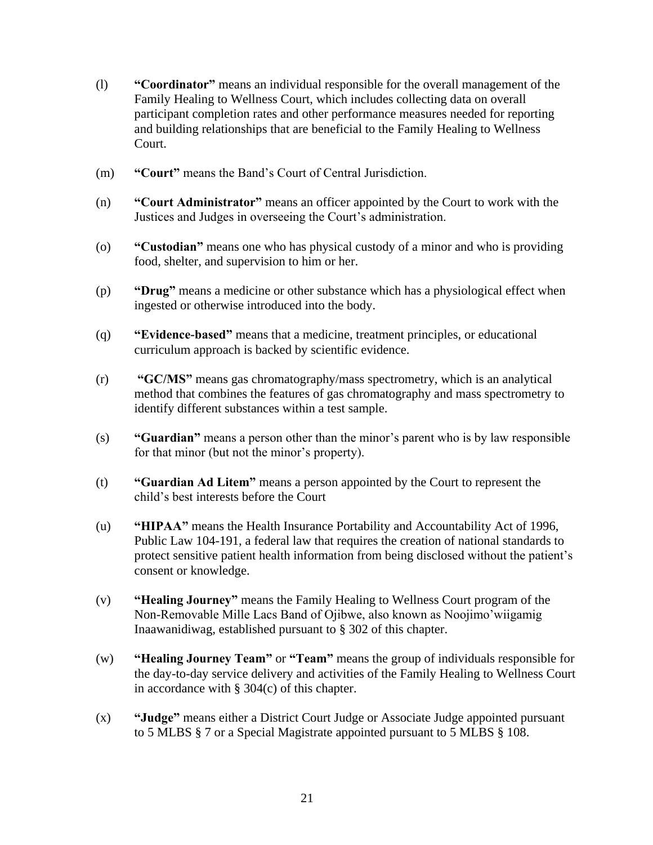- (l) **"Coordinator"** means an individual responsible for the overall management of the Family Healing to Wellness Court, which includes collecting data on overall participant completion rates and other performance measures needed for reporting and building relationships that are beneficial to the Family Healing to Wellness Court.
- (m) **"Court"** means the Band's Court of Central Jurisdiction.
- (n) **"Court Administrator"** means an officer appointed by the Court to work with the Justices and Judges in overseeing the Court's administration.
- (o) **"Custodian"** means one who has physical custody of a minor and who is providing food, shelter, and supervision to him or her.
- (p) **"Drug"** means a medicine or other substance which has a physiological effect when ingested or otherwise introduced into the body.
- (q) **"Evidence-based"** means that a medicine, treatment principles, or educational curriculum approach is backed by scientific evidence.
- (r) **"GC/MS"** means gas chromatography/mass spectrometry, which is an analytical method that combines the features of gas chromatography and mass spectrometry to identify different substances within a test sample.
- (s) **"Guardian"** means a person other than the minor's parent who is by law responsible for that minor (but not the minor's property).
- (t) **"Guardian Ad Litem"** means a person appointed by the Court to represent the child's best interests before the Court
- (u) **"HIPAA"** means the Health Insurance Portability and Accountability Act of 1996, Public Law 104-191, a federal law that requires the creation of national standards to protect sensitive patient health information from being disclosed without the patient's consent or knowledge.
- (v) **"Healing Journey"** means the Family Healing to Wellness Court program of the Non-Removable Mille Lacs Band of Ojibwe, also known as Noojimo'wiigamig Inaawanidiwag, established pursuant to § 302 of this chapter.
- (w) **"Healing Journey Team"** or **"Team"** means the group of individuals responsible for the day-to-day service delivery and activities of the Family Healing to Wellness Court in accordance with § 304(c) of this chapter.
- (x) **"Judge"** means either a District Court Judge or Associate Judge appointed pursuant to 5 MLBS § 7 or a Special Magistrate appointed pursuant to 5 MLBS § 108.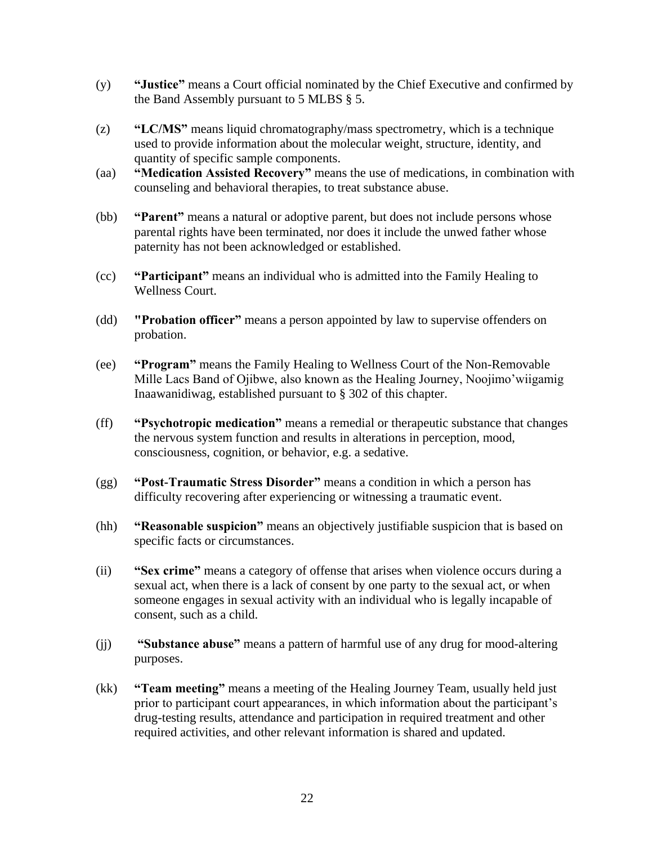- (y) **"Justice"** means a Court official nominated by the Chief Executive and confirmed by the Band Assembly pursuant to 5 MLBS § 5.
- (z) **"LC/MS"** means liquid chromatography/mass spectrometry, which is a technique used to provide information about the molecular weight, structure, identity, and quantity of specific sample components.
- (aa) **"Medication Assisted Recovery"** means the use of medications, in combination with counseling and behavioral therapies, to treat substance abuse.
- (bb) **"Parent"** means a natural or adoptive parent, but does not include persons whose parental rights have been terminated, nor does it include the unwed father whose paternity has not been acknowledged or established.
- (cc) **"Participant"** means an individual who is admitted into the Family Healing to Wellness Court.
- (dd) **"Probation officer"** means a person appointed by law to supervise offenders on probation.
- (ee) **"Program"** means the Family Healing to Wellness Court of the Non-Removable Mille Lacs Band of Ojibwe, also known as the Healing Journey, Noojimo'wiigamig Inaawanidiwag, established pursuant to § 302 of this chapter.
- (ff) **"Psychotropic medication"** means a remedial or therapeutic substance that changes the nervous system function and results in alterations in perception, mood, consciousness, cognition, or behavior, e.g. a sedative.
- (gg) **"Post-Traumatic Stress Disorder"** means a condition in which a person has difficulty recovering after experiencing or witnessing a traumatic event.
- (hh) **"Reasonable suspicion"** means an objectively justifiable suspicion that is based on specific facts or circumstances.
- (ii) **"Sex crime"** means a category of offense that arises when violence occurs during a sexual act, when there is a lack of consent by one party to the sexual act, or when someone engages in sexual activity with an individual who is legally incapable of consent, such as a child.
- (jj) **"Substance abuse"** means a pattern of harmful use of any drug for mood-altering purposes.
- (kk) **"Team meeting"** means a meeting of the Healing Journey Team, usually held just prior to participant court appearances, in which information about the participant's drug-testing results, attendance and participation in required treatment and other required activities, and other relevant information is shared and updated.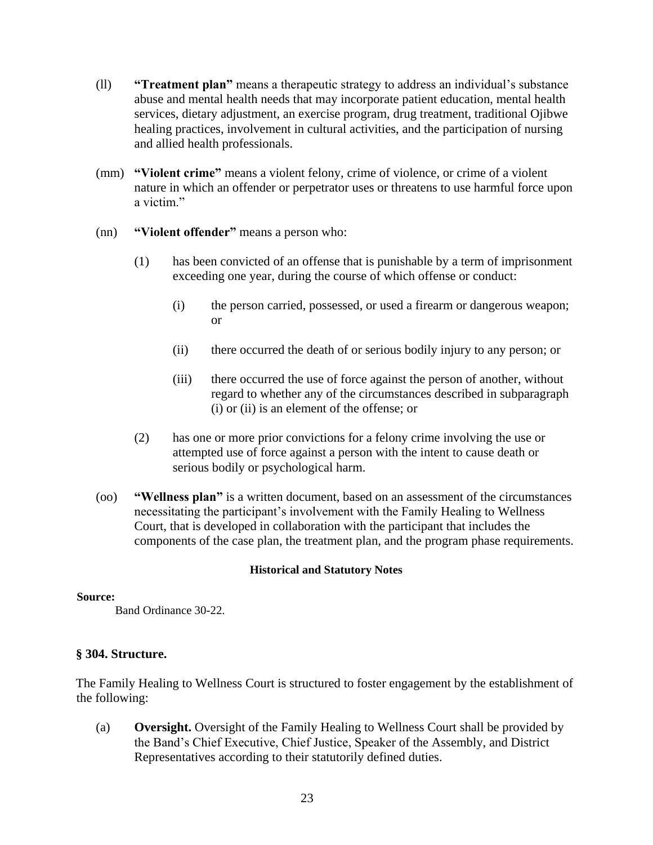- (ll) **"Treatment plan"** means a therapeutic strategy to address an individual's substance abuse and mental health needs that may incorporate patient education, mental health services, dietary adjustment, an exercise program, drug treatment, traditional Ojibwe healing practices, involvement in cultural activities, and the participation of nursing and allied health professionals.
- (mm) **"Violent crime"** means a violent felony, crime of violence, or crime of a violent nature in which an offender or perpetrator uses or threatens to use harmful force upon a victim."
- (nn) **"Violent offender"** means a person who:
	- (1) has been convicted of an offense that is punishable by a term of imprisonment exceeding one year, during the course of which offense or conduct:
		- (i) the person carried, possessed, or used a firearm or dangerous weapon; or
		- (ii) there occurred the death of or serious bodily injury to any person; or
		- (iii) there occurred the use of force against the person of another, without regard to whether any of the circumstances described in subparagraph (i) or (ii) is an element of the offense; or
	- (2) has one or more prior convictions for a felony crime involving the use or attempted use of force against a person with the intent to cause death or serious bodily or psychological harm.
- (oo) **"Wellness plan"** is a written document, based on an assessment of the circumstances necessitating the participant's involvement with the Family Healing to Wellness Court, that is developed in collaboration with the participant that includes the components of the case plan, the treatment plan, and the program phase requirements.

#### **Source:**

Band Ordinance 30-22.

## **§ 304. Structure.**

The Family Healing to Wellness Court is structured to foster engagement by the establishment of the following:

(a) **Oversight.** Oversight of the Family Healing to Wellness Court shall be provided by the Band's Chief Executive, Chief Justice, Speaker of the Assembly, and District Representatives according to their statutorily defined duties.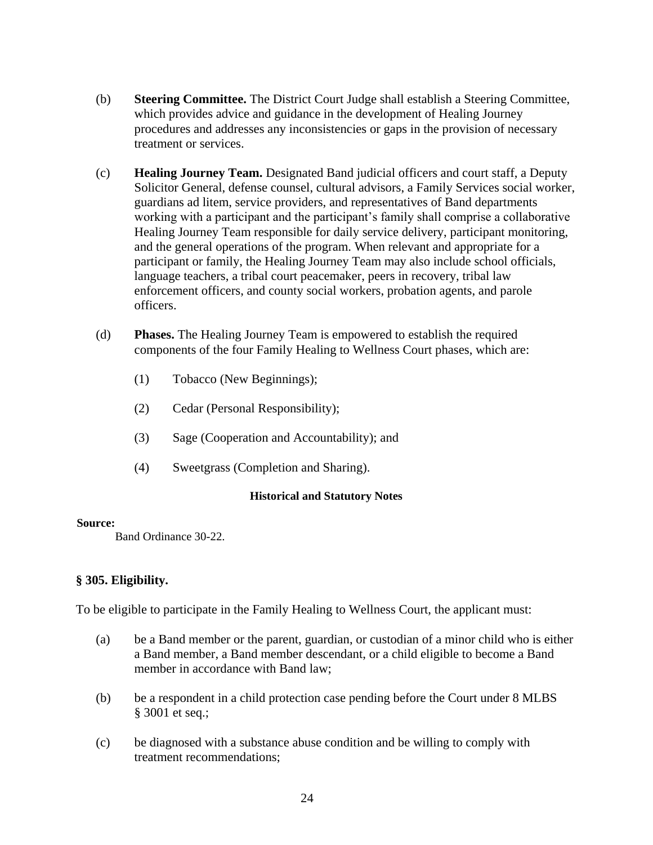- (b) **Steering Committee.** The District Court Judge shall establish a Steering Committee, which provides advice and guidance in the development of Healing Journey procedures and addresses any inconsistencies or gaps in the provision of necessary treatment or services.
- (c) **Healing Journey Team.** Designated Band judicial officers and court staff, a Deputy Solicitor General, defense counsel, cultural advisors, a Family Services social worker, guardians ad litem, service providers, and representatives of Band departments working with a participant and the participant's family shall comprise a collaborative Healing Journey Team responsible for daily service delivery, participant monitoring, and the general operations of the program. When relevant and appropriate for a participant or family, the Healing Journey Team may also include school officials, language teachers, a tribal court peacemaker, peers in recovery, tribal law enforcement officers, and county social workers, probation agents, and parole officers.
- (d) **Phases.** The Healing Journey Team is empowered to establish the required components of the four Family Healing to Wellness Court phases, which are:
	- (1) Tobacco (New Beginnings);
	- (2) Cedar (Personal Responsibility);
	- (3) Sage (Cooperation and Accountability); and
	- (4) Sweetgrass (Completion and Sharing).

#### **Source:**

Band Ordinance 30-22.

## **§ 305. Eligibility.**

To be eligible to participate in the Family Healing to Wellness Court, the applicant must:

- (a) be a Band member or the parent, guardian, or custodian of a minor child who is either a Band member, a Band member descendant, or a child eligible to become a Band member in accordance with Band law;
- (b) be a respondent in a child protection case pending before the Court under 8 MLBS § 3001 et seq.;
- (c) be diagnosed with a substance abuse condition and be willing to comply with treatment recommendations;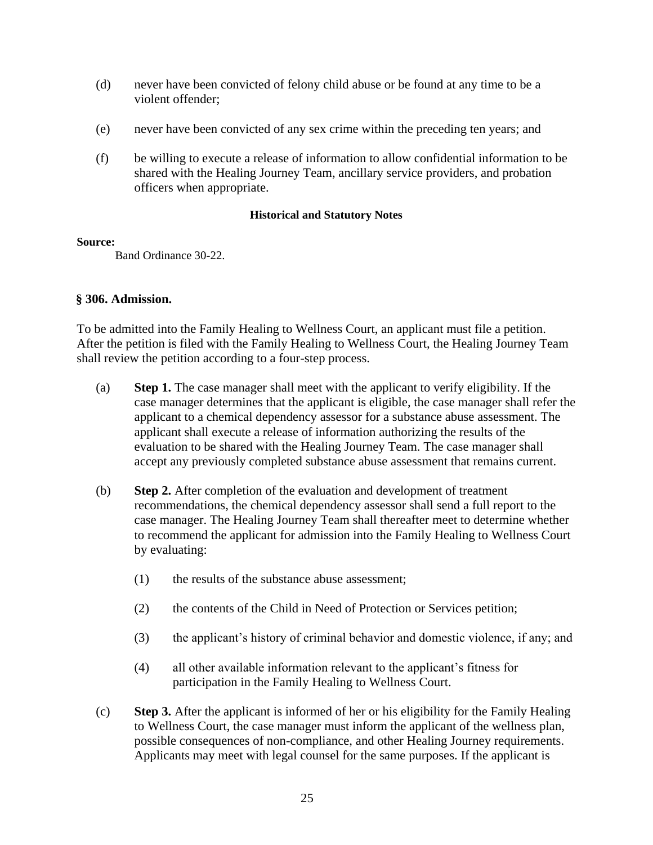- (d) never have been convicted of felony child abuse or be found at any time to be a violent offender;
- (e) never have been convicted of any sex crime within the preceding ten years; and
- (f) be willing to execute a release of information to allow confidential information to be shared with the Healing Journey Team, ancillary service providers, and probation officers when appropriate.

#### **Source:**

Band Ordinance 30-22.

## **§ 306. Admission.**

To be admitted into the Family Healing to Wellness Court, an applicant must file a petition. After the petition is filed with the Family Healing to Wellness Court, the Healing Journey Team shall review the petition according to a four-step process.

- (a) **Step 1.** The case manager shall meet with the applicant to verify eligibility. If the case manager determines that the applicant is eligible, the case manager shall refer the applicant to a chemical dependency assessor for a substance abuse assessment. The applicant shall execute a release of information authorizing the results of the evaluation to be shared with the Healing Journey Team. The case manager shall accept any previously completed substance abuse assessment that remains current.
- (b) **Step 2.** After completion of the evaluation and development of treatment recommendations, the chemical dependency assessor shall send a full report to the case manager. The Healing Journey Team shall thereafter meet to determine whether to recommend the applicant for admission into the Family Healing to Wellness Court by evaluating:
	- (1) the results of the substance abuse assessment;
	- (2) the contents of the Child in Need of Protection or Services petition;
	- (3) the applicant's history of criminal behavior and domestic violence, if any; and
	- (4) all other available information relevant to the applicant's fitness for participation in the Family Healing to Wellness Court.
- (c) **Step 3.** After the applicant is informed of her or his eligibility for the Family Healing to Wellness Court, the case manager must inform the applicant of the wellness plan, possible consequences of non-compliance, and other Healing Journey requirements. Applicants may meet with legal counsel for the same purposes. If the applicant is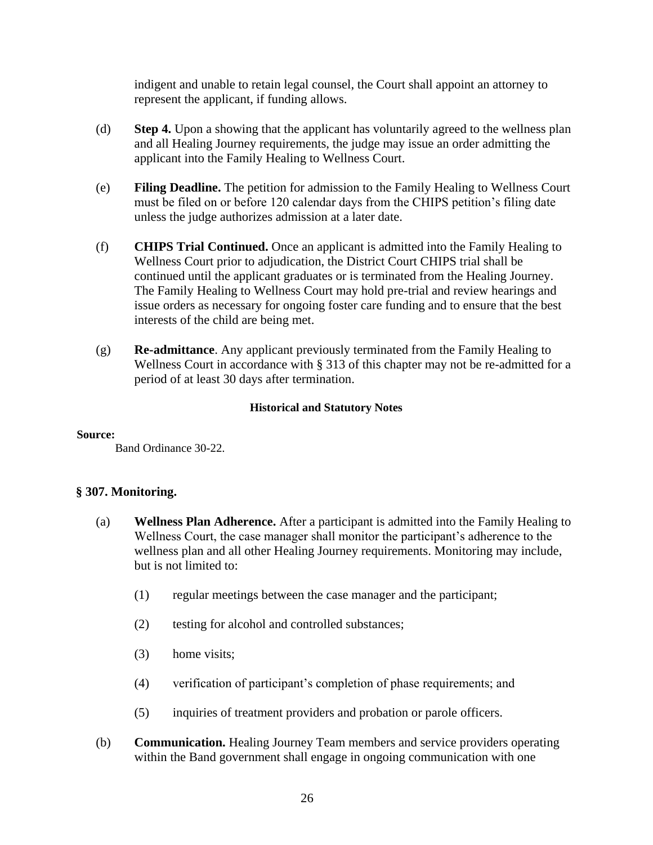indigent and unable to retain legal counsel, the Court shall appoint an attorney to represent the applicant, if funding allows.

- (d) **Step 4.** Upon a showing that the applicant has voluntarily agreed to the wellness plan and all Healing Journey requirements, the judge may issue an order admitting the applicant into the Family Healing to Wellness Court.
- (e) **Filing Deadline.** The petition for admission to the Family Healing to Wellness Court must be filed on or before 120 calendar days from the CHIPS petition's filing date unless the judge authorizes admission at a later date.
- (f) **CHIPS Trial Continued.** Once an applicant is admitted into the Family Healing to Wellness Court prior to adjudication, the District Court CHIPS trial shall be continued until the applicant graduates or is terminated from the Healing Journey. The Family Healing to Wellness Court may hold pre-trial and review hearings and issue orders as necessary for ongoing foster care funding and to ensure that the best interests of the child are being met.
- (g) **Re-admittance**. Any applicant previously terminated from the Family Healing to Wellness Court in accordance with § 313 of this chapter may not be re-admitted for a period of at least 30 days after termination.

#### **Historical and Statutory Notes**

#### **Source:**

Band Ordinance 30-22.

## **§ 307. Monitoring.**

- (a) **Wellness Plan Adherence.** After a participant is admitted into the Family Healing to Wellness Court, the case manager shall monitor the participant's adherence to the wellness plan and all other Healing Journey requirements. Monitoring may include, but is not limited to:
	- (1) regular meetings between the case manager and the participant;
	- (2) testing for alcohol and controlled substances;
	- (3) home visits;
	- (4) verification of participant's completion of phase requirements; and
	- (5) inquiries of treatment providers and probation or parole officers.
- (b) **Communication.** Healing Journey Team members and service providers operating within the Band government shall engage in ongoing communication with one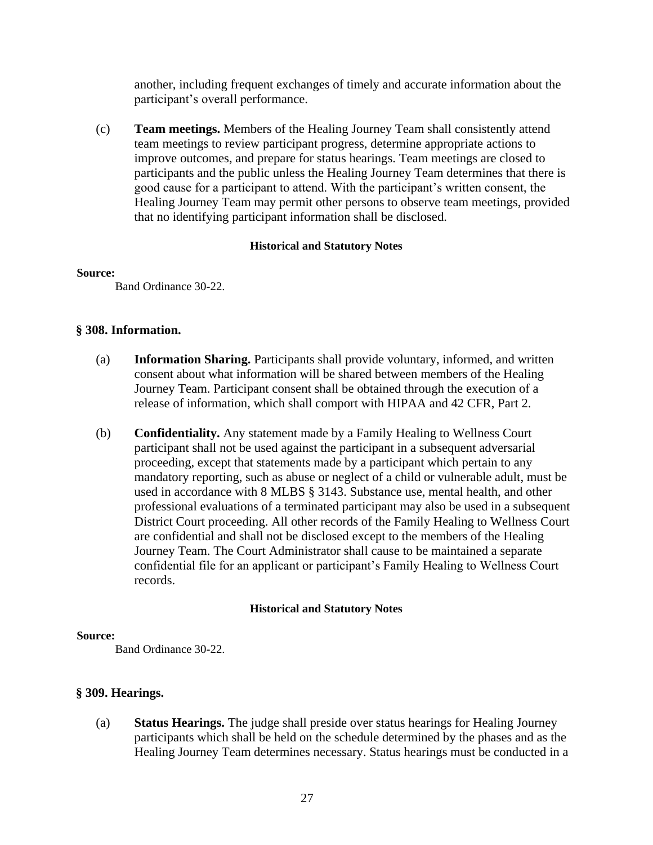another, including frequent exchanges of timely and accurate information about the participant's overall performance.

(c) **Team meetings.** Members of the Healing Journey Team shall consistently attend team meetings to review participant progress, determine appropriate actions to improve outcomes, and prepare for status hearings. Team meetings are closed to participants and the public unless the Healing Journey Team determines that there is good cause for a participant to attend. With the participant's written consent, the Healing Journey Team may permit other persons to observe team meetings, provided that no identifying participant information shall be disclosed.

#### **Historical and Statutory Notes**

#### **Source:**

Band Ordinance 30-22.

## **§ 308. Information.**

- (a) **Information Sharing.** Participants shall provide voluntary, informed, and written consent about what information will be shared between members of the Healing Journey Team. Participant consent shall be obtained through the execution of a release of information, which shall comport with HIPAA and 42 CFR, Part 2.
- (b) **Confidentiality.** Any statement made by a Family Healing to Wellness Court participant shall not be used against the participant in a subsequent adversarial proceeding, except that statements made by a participant which pertain to any mandatory reporting, such as abuse or neglect of a child or vulnerable adult, must be used in accordance with 8 MLBS § 3143. Substance use, mental health, and other professional evaluations of a terminated participant may also be used in a subsequent District Court proceeding. All other records of the Family Healing to Wellness Court are confidential and shall not be disclosed except to the members of the Healing Journey Team. The Court Administrator shall cause to be maintained a separate confidential file for an applicant or participant's Family Healing to Wellness Court records.

## **Historical and Statutory Notes**

#### **Source:**

Band Ordinance 30-22.

## **§ 309. Hearings.**

(a) **Status Hearings.** The judge shall preside over status hearings for Healing Journey participants which shall be held on the schedule determined by the phases and as the Healing Journey Team determines necessary. Status hearings must be conducted in a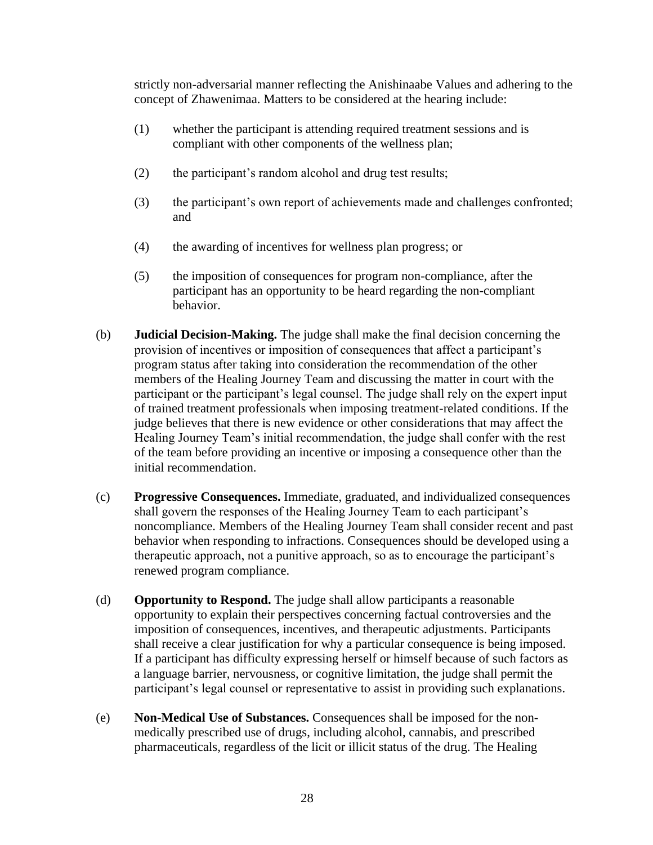strictly non-adversarial manner reflecting the Anishinaabe Values and adhering to the concept of Zhawenimaa. Matters to be considered at the hearing include:

- (1) whether the participant is attending required treatment sessions and is compliant with other components of the wellness plan;
- (2) the participant's random alcohol and drug test results;
- (3) the participant's own report of achievements made and challenges confronted; and
- (4) the awarding of incentives for wellness plan progress; or
- (5) the imposition of consequences for program non-compliance, after the participant has an opportunity to be heard regarding the non-compliant behavior.
- (b) **Judicial Decision-Making.** The judge shall make the final decision concerning the provision of incentives or imposition of consequences that affect a participant's program status after taking into consideration the recommendation of the other members of the Healing Journey Team and discussing the matter in court with the participant or the participant's legal counsel. The judge shall rely on the expert input of trained treatment professionals when imposing treatment-related conditions. If the judge believes that there is new evidence or other considerations that may affect the Healing Journey Team's initial recommendation, the judge shall confer with the rest of the team before providing an incentive or imposing a consequence other than the initial recommendation.
- (c) **Progressive Consequences.** Immediate, graduated, and individualized consequences shall govern the responses of the Healing Journey Team to each participant's noncompliance. Members of the Healing Journey Team shall consider recent and past behavior when responding to infractions. Consequences should be developed using a therapeutic approach, not a punitive approach, so as to encourage the participant's renewed program compliance.
- (d) **Opportunity to Respond.** The judge shall allow participants a reasonable opportunity to explain their perspectives concerning factual controversies and the imposition of consequences, incentives, and therapeutic adjustments. Participants shall receive a clear justification for why a particular consequence is being imposed. If a participant has difficulty expressing herself or himself because of such factors as a language barrier, nervousness, or cognitive limitation, the judge shall permit the participant's legal counsel or representative to assist in providing such explanations.
- (e) **Non-Medical Use of Substances.** Consequences shall be imposed for the nonmedically prescribed use of drugs, including alcohol, cannabis, and prescribed pharmaceuticals, regardless of the licit or illicit status of the drug. The Healing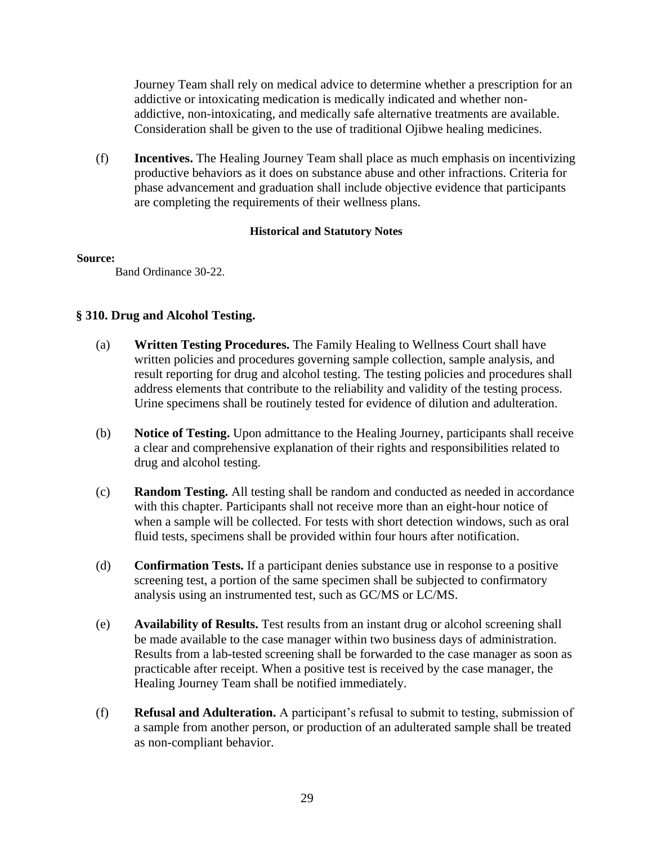Journey Team shall rely on medical advice to determine whether a prescription for an addictive or intoxicating medication is medically indicated and whether nonaddictive, non-intoxicating, and medically safe alternative treatments are available. Consideration shall be given to the use of traditional Ojibwe healing medicines.

(f) **Incentives.** The Healing Journey Team shall place as much emphasis on incentivizing productive behaviors as it does on substance abuse and other infractions. Criteria for phase advancement and graduation shall include objective evidence that participants are completing the requirements of their wellness plans.

## **Historical and Statutory Notes**

#### **Source:**

Band Ordinance 30-22.

## **§ 310. Drug and Alcohol Testing.**

- (a) **Written Testing Procedures.** The Family Healing to Wellness Court shall have written policies and procedures governing sample collection, sample analysis, and result reporting for drug and alcohol testing. The testing policies and procedures shall address elements that contribute to the reliability and validity of the testing process. Urine specimens shall be routinely tested for evidence of dilution and adulteration.
- (b) **Notice of Testing.** Upon admittance to the Healing Journey, participants shall receive a clear and comprehensive explanation of their rights and responsibilities related to drug and alcohol testing.
- (c) **Random Testing.** All testing shall be random and conducted as needed in accordance with this chapter. Participants shall not receive more than an eight-hour notice of when a sample will be collected. For tests with short detection windows, such as oral fluid tests, specimens shall be provided within four hours after notification.
- (d) **Confirmation Tests.** If a participant denies substance use in response to a positive screening test, a portion of the same specimen shall be subjected to confirmatory analysis using an instrumented test, such as GC/MS or LC/MS.
- (e) **Availability of Results.** Test results from an instant drug or alcohol screening shall be made available to the case manager within two business days of administration. Results from a lab-tested screening shall be forwarded to the case manager as soon as practicable after receipt. When a positive test is received by the case manager, the Healing Journey Team shall be notified immediately.
- (f) **Refusal and Adulteration.** A participant's refusal to submit to testing, submission of a sample from another person, or production of an adulterated sample shall be treated as non-compliant behavior.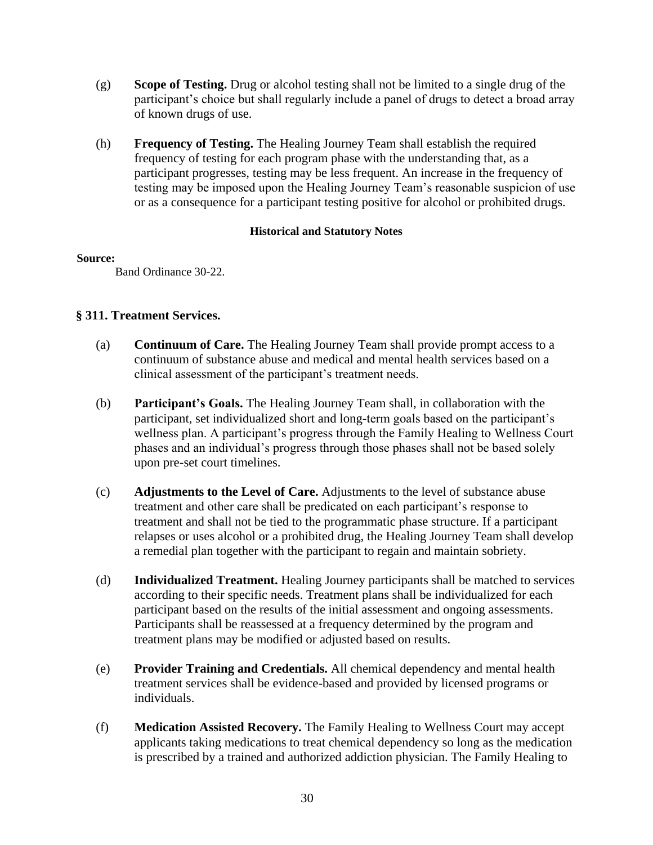- (g) **Scope of Testing.** Drug or alcohol testing shall not be limited to a single drug of the participant's choice but shall regularly include a panel of drugs to detect a broad array of known drugs of use.
- (h) **Frequency of Testing.** The Healing Journey Team shall establish the required frequency of testing for each program phase with the understanding that, as a participant progresses, testing may be less frequent. An increase in the frequency of testing may be imposed upon the Healing Journey Team's reasonable suspicion of use or as a consequence for a participant testing positive for alcohol or prohibited drugs.

#### **Source:**

Band Ordinance 30-22.

## **§ 311. Treatment Services.**

- (a) **Continuum of Care.** The Healing Journey Team shall provide prompt access to a continuum of substance abuse and medical and mental health services based on a clinical assessment of the participant's treatment needs.
- (b) **Participant's Goals.** The Healing Journey Team shall, in collaboration with the participant, set individualized short and long-term goals based on the participant's wellness plan. A participant's progress through the Family Healing to Wellness Court phases and an individual's progress through those phases shall not be based solely upon pre-set court timelines.
- (c) **Adjustments to the Level of Care.** Adjustments to the level of substance abuse treatment and other care shall be predicated on each participant's response to treatment and shall not be tied to the programmatic phase structure. If a participant relapses or uses alcohol or a prohibited drug, the Healing Journey Team shall develop a remedial plan together with the participant to regain and maintain sobriety.
- (d) **Individualized Treatment.** Healing Journey participants shall be matched to services according to their specific needs. Treatment plans shall be individualized for each participant based on the results of the initial assessment and ongoing assessments. Participants shall be reassessed at a frequency determined by the program and treatment plans may be modified or adjusted based on results.
- (e) **Provider Training and Credentials.** All chemical dependency and mental health treatment services shall be evidence-based and provided by licensed programs or individuals.
- (f) **Medication Assisted Recovery.** The Family Healing to Wellness Court may accept applicants taking medications to treat chemical dependency so long as the medication is prescribed by a trained and authorized addiction physician. The Family Healing to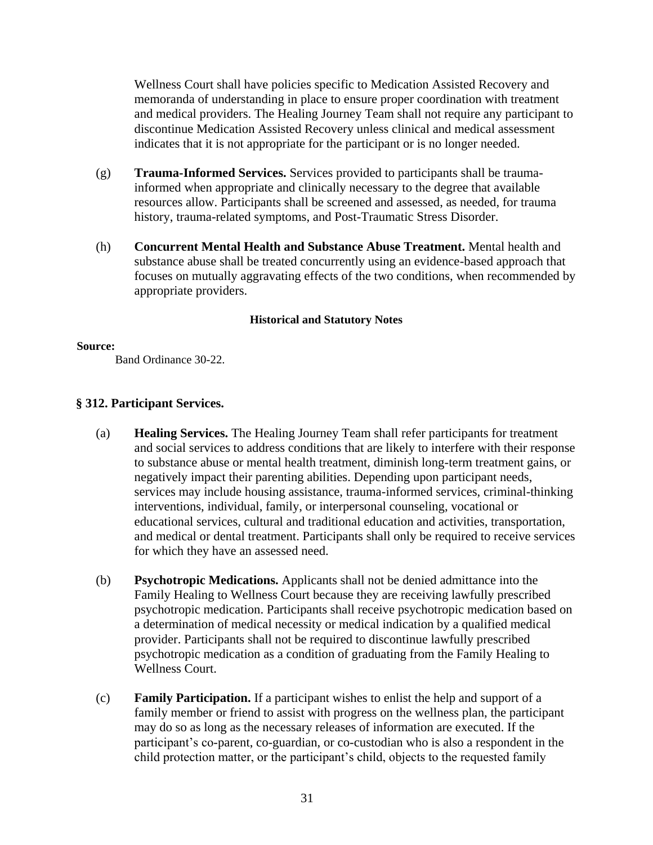Wellness Court shall have policies specific to Medication Assisted Recovery and memoranda of understanding in place to ensure proper coordination with treatment and medical providers. The Healing Journey Team shall not require any participant to discontinue Medication Assisted Recovery unless clinical and medical assessment indicates that it is not appropriate for the participant or is no longer needed.

- (g) **Trauma-Informed Services.** Services provided to participants shall be traumainformed when appropriate and clinically necessary to the degree that available resources allow. Participants shall be screened and assessed, as needed, for trauma history, trauma-related symptoms, and Post-Traumatic Stress Disorder.
- (h) **Concurrent Mental Health and Substance Abuse Treatment.** Mental health and substance abuse shall be treated concurrently using an evidence-based approach that focuses on mutually aggravating effects of the two conditions, when recommended by appropriate providers.

## **Historical and Statutory Notes**

#### **Source:**

Band Ordinance 30-22.

## **§ 312. Participant Services.**

- (a) **Healing Services.** The Healing Journey Team shall refer participants for treatment and social services to address conditions that are likely to interfere with their response to substance abuse or mental health treatment, diminish long-term treatment gains, or negatively impact their parenting abilities. Depending upon participant needs, services may include housing assistance, trauma-informed services, criminal-thinking interventions, individual, family, or interpersonal counseling, vocational or educational services, cultural and traditional education and activities, transportation, and medical or dental treatment. Participants shall only be required to receive services for which they have an assessed need.
- (b) **Psychotropic Medications.** Applicants shall not be denied admittance into the Family Healing to Wellness Court because they are receiving lawfully prescribed psychotropic medication. Participants shall receive psychotropic medication based on a determination of medical necessity or medical indication by a qualified medical provider. Participants shall not be required to discontinue lawfully prescribed psychotropic medication as a condition of graduating from the Family Healing to Wellness Court.
- (c) **Family Participation.** If a participant wishes to enlist the help and support of a family member or friend to assist with progress on the wellness plan, the participant may do so as long as the necessary releases of information are executed. If the participant's co-parent, co-guardian, or co-custodian who is also a respondent in the child protection matter, or the participant's child, objects to the requested family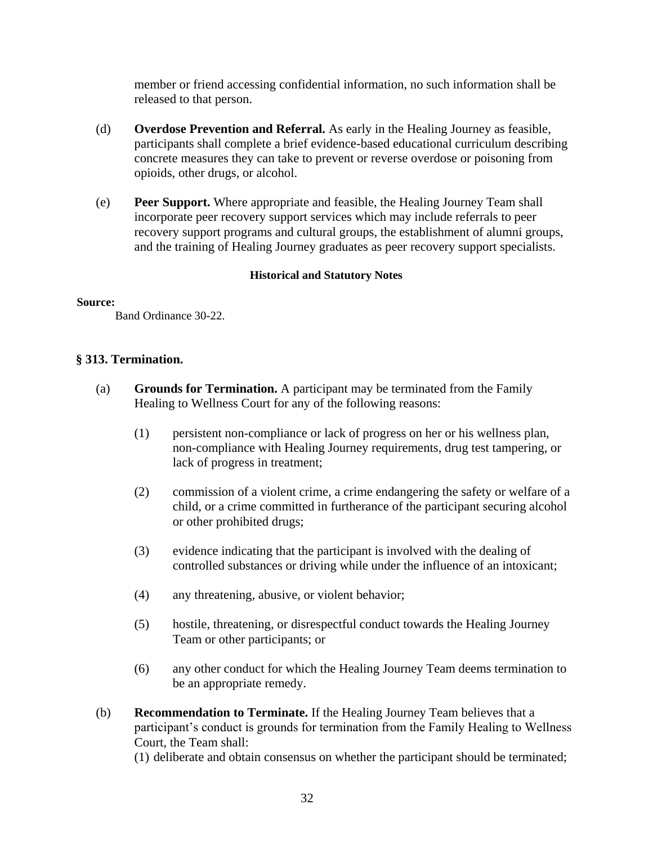member or friend accessing confidential information, no such information shall be released to that person.

- (d) **Overdose Prevention and Referral.** As early in the Healing Journey as feasible, participants shall complete a brief evidence-based educational curriculum describing concrete measures they can take to prevent or reverse overdose or poisoning from opioids, other drugs, or alcohol.
- (e) **Peer Support.** Where appropriate and feasible, the Healing Journey Team shall incorporate peer recovery support services which may include referrals to peer recovery support programs and cultural groups, the establishment of alumni groups, and the training of Healing Journey graduates as peer recovery support specialists.

## **Historical and Statutory Notes**

#### **Source:**

Band Ordinance 30-22.

## **§ 313. Termination.**

- (a) **Grounds for Termination.** A participant may be terminated from the Family Healing to Wellness Court for any of the following reasons:
	- (1) persistent non-compliance or lack of progress on her or his wellness plan, non-compliance with Healing Journey requirements, drug test tampering, or lack of progress in treatment;
	- (2) commission of a violent crime, a crime endangering the safety or welfare of a child, or a crime committed in furtherance of the participant securing alcohol or other prohibited drugs;
	- (3) evidence indicating that the participant is involved with the dealing of controlled substances or driving while under the influence of an intoxicant;
	- (4) any threatening, abusive, or violent behavior;
	- (5) hostile, threatening, or disrespectful conduct towards the Healing Journey Team or other participants; or
	- (6) any other conduct for which the Healing Journey Team deems termination to be an appropriate remedy.
- (b) **Recommendation to Terminate.** If the Healing Journey Team believes that a participant's conduct is grounds for termination from the Family Healing to Wellness Court, the Team shall:

(1) deliberate and obtain consensus on whether the participant should be terminated;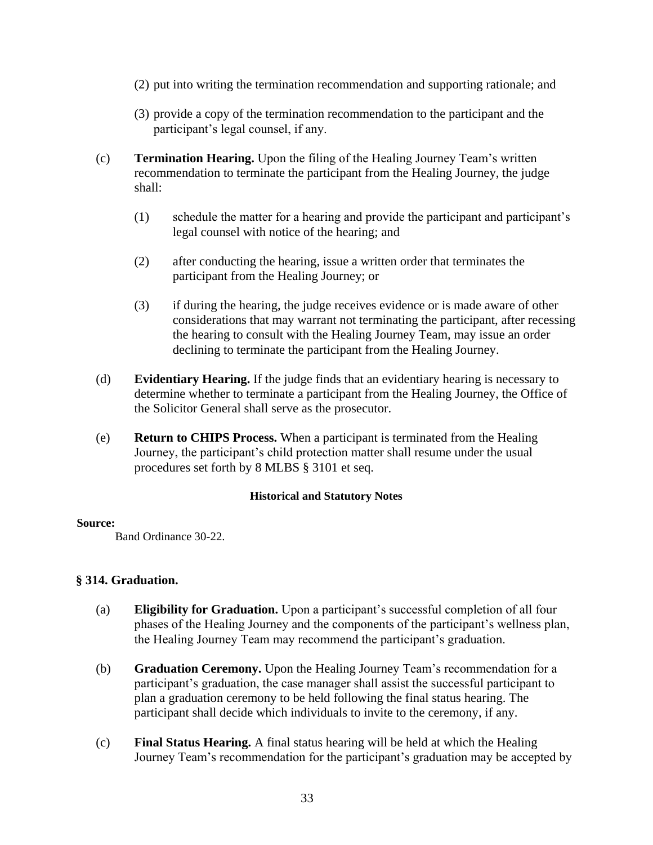- (2) put into writing the termination recommendation and supporting rationale; and
- (3) provide a copy of the termination recommendation to the participant and the participant's legal counsel, if any.
- (c) **Termination Hearing.** Upon the filing of the Healing Journey Team's written recommendation to terminate the participant from the Healing Journey, the judge shall:
	- (1) schedule the matter for a hearing and provide the participant and participant's legal counsel with notice of the hearing; and
	- (2) after conducting the hearing, issue a written order that terminates the participant from the Healing Journey; or
	- (3) if during the hearing, the judge receives evidence or is made aware of other considerations that may warrant not terminating the participant, after recessing the hearing to consult with the Healing Journey Team, may issue an order declining to terminate the participant from the Healing Journey.
- (d) **Evidentiary Hearing.** If the judge finds that an evidentiary hearing is necessary to determine whether to terminate a participant from the Healing Journey, the Office of the Solicitor General shall serve as the prosecutor.
- (e) **Return to CHIPS Process.** When a participant is terminated from the Healing Journey, the participant's child protection matter shall resume under the usual procedures set forth by 8 MLBS § 3101 et seq.

#### **Source:**

Band Ordinance 30-22.

## **§ 314. Graduation.**

- (a) **Eligibility for Graduation.** Upon a participant's successful completion of all four phases of the Healing Journey and the components of the participant's wellness plan, the Healing Journey Team may recommend the participant's graduation.
- (b) **Graduation Ceremony.** Upon the Healing Journey Team's recommendation for a participant's graduation, the case manager shall assist the successful participant to plan a graduation ceremony to be held following the final status hearing. The participant shall decide which individuals to invite to the ceremony, if any.
- (c) **Final Status Hearing.** A final status hearing will be held at which the Healing Journey Team's recommendation for the participant's graduation may be accepted by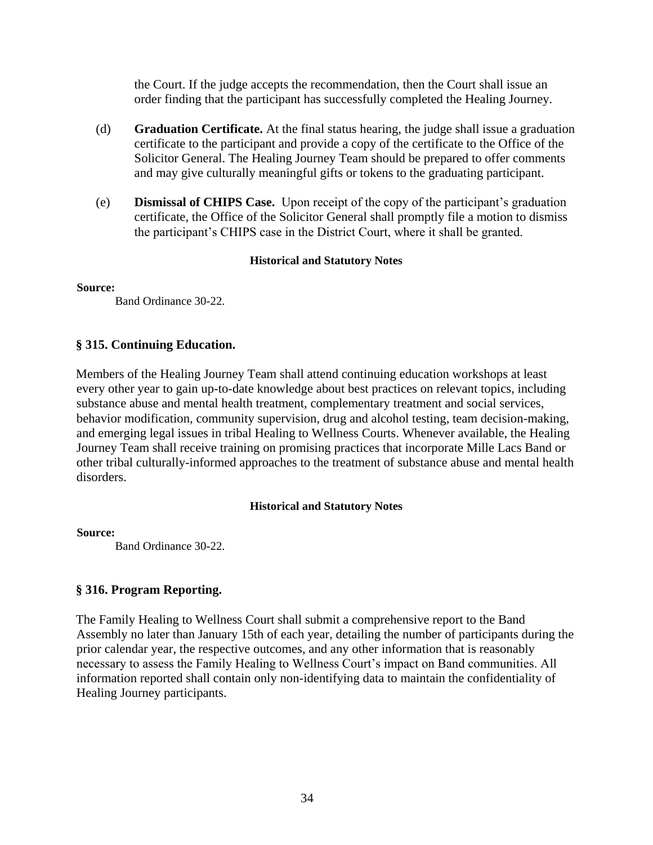the Court. If the judge accepts the recommendation, then the Court shall issue an order finding that the participant has successfully completed the Healing Journey.

- (d) **Graduation Certificate.** At the final status hearing, the judge shall issue a graduation certificate to the participant and provide a copy of the certificate to the Office of the Solicitor General. The Healing Journey Team should be prepared to offer comments and may give culturally meaningful gifts or tokens to the graduating participant.
- (e) **Dismissal of CHIPS Case.** Upon receipt of the copy of the participant's graduation certificate, the Office of the Solicitor General shall promptly file a motion to dismiss the participant's CHIPS case in the District Court, where it shall be granted.

#### **Historical and Statutory Notes**

**Source:**

Band Ordinance 30-22.

## **§ 315. Continuing Education.**

Members of the Healing Journey Team shall attend continuing education workshops at least every other year to gain up-to-date knowledge about best practices on relevant topics, including substance abuse and mental health treatment, complementary treatment and social services, behavior modification, community supervision, drug and alcohol testing, team decision-making, and emerging legal issues in tribal Healing to Wellness Courts. Whenever available, the Healing Journey Team shall receive training on promising practices that incorporate Mille Lacs Band or other tribal culturally-informed approaches to the treatment of substance abuse and mental health disorders.

#### **Historical and Statutory Notes**

**Source:**

Band Ordinance 30-22.

## **§ 316. Program Reporting.**

The Family Healing to Wellness Court shall submit a comprehensive report to the Band Assembly no later than January 15th of each year, detailing the number of participants during the prior calendar year, the respective outcomes, and any other information that is reasonably necessary to assess the Family Healing to Wellness Court's impact on Band communities. All information reported shall contain only non-identifying data to maintain the confidentiality of Healing Journey participants.